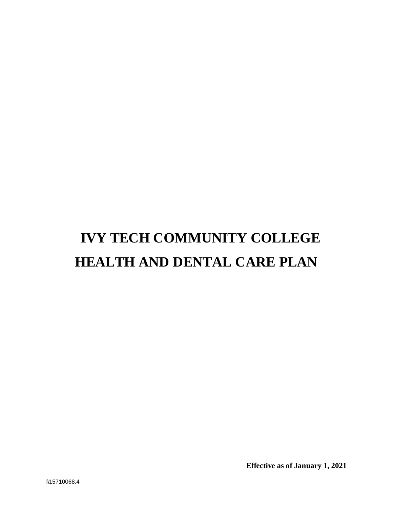# **IVY TECH COMMUNITY COLLEGE HEALTH AND DENTAL CARE PLAN**

**Effective as of January 1, 2021**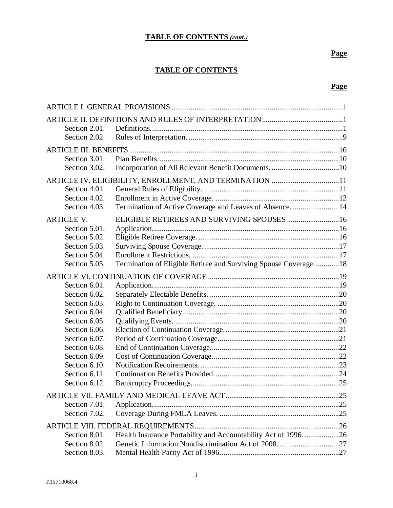## **TABLE OF CONTENTS (cont.)**

## **Page**

## **TABLE OF CONTENTS**

## **Page**

| Section 2.01.     |                                                                 |  |
|-------------------|-----------------------------------------------------------------|--|
| Section 2.02.     |                                                                 |  |
|                   |                                                                 |  |
| Section 3.01.     |                                                                 |  |
| Section 3.02.     |                                                                 |  |
|                   | ARTICLE IV. ELIGIBILITY, ENROLLMENT, AND TERMINATION 11         |  |
| Section 4.01.     |                                                                 |  |
| Section 4.02.     |                                                                 |  |
| Section 4.03.     | Termination of Active Coverage and Leaves of Absence. 14        |  |
| <b>ARTICLE V.</b> | ELIGIBLE RETIREES AND SURVIVING SPOUSES  16                     |  |
| Section 5.01.     |                                                                 |  |
| Section 5.02.     |                                                                 |  |
| Section 5.03.     |                                                                 |  |
| Section 5.04.     |                                                                 |  |
| Section 5.05.     | Termination of Eligible Retiree and Surviving Spouse Coverage18 |  |
|                   |                                                                 |  |
| Section 6.01.     |                                                                 |  |
| Section 6.02.     |                                                                 |  |
| Section 6.03.     |                                                                 |  |
| Section 6.04.     |                                                                 |  |
| Section 6.05.     |                                                                 |  |
| Section 6.06.     |                                                                 |  |
| Section 6.07.     |                                                                 |  |
| Section 6.08.     |                                                                 |  |
| Section 6.09.     |                                                                 |  |
| Section 6.10.     |                                                                 |  |
| Section 6.11.     |                                                                 |  |
| Section 6.12.     |                                                                 |  |
|                   |                                                                 |  |
| Section 7.01.     |                                                                 |  |
| Section 7.02.     |                                                                 |  |
|                   |                                                                 |  |
| Section 8.01.     | Health Insurance Portability and Accountability Act of 1996. 26 |  |
| Section 8.02.     |                                                                 |  |
| Section 8.03.     |                                                                 |  |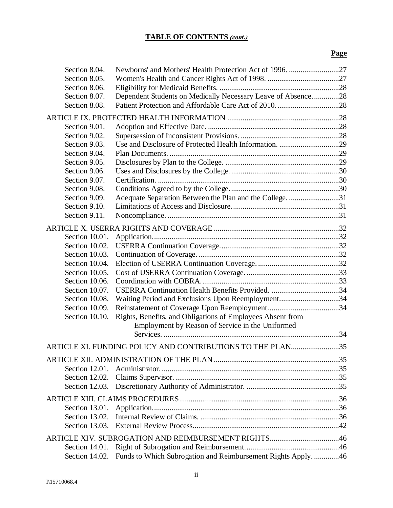## **TABLE OF CONTENTS (cont.)**

## **Page**

| Section 8.04.     |                                                                                                                |  |
|-------------------|----------------------------------------------------------------------------------------------------------------|--|
| Section 8.05.     |                                                                                                                |  |
| Section 8.06.     |                                                                                                                |  |
| Section 8.07.     | Dependent Students on Medically Necessary Leave of Absence28                                                   |  |
| Section 8.08.     |                                                                                                                |  |
|                   |                                                                                                                |  |
| Section 9.01.     |                                                                                                                |  |
| Section 9.02.     |                                                                                                                |  |
| Section 9.03.     |                                                                                                                |  |
| Section 9.04.     |                                                                                                                |  |
| Section 9.05.     |                                                                                                                |  |
| Section 9.06.     |                                                                                                                |  |
| Section 9.07.     |                                                                                                                |  |
| Section 9.08.     |                                                                                                                |  |
| Section 9.09.     | Adequate Separation Between the Plan and the College. 31                                                       |  |
| Section 9.10.     |                                                                                                                |  |
| Section 9.11.     |                                                                                                                |  |
|                   |                                                                                                                |  |
| Section 10.01.    |                                                                                                                |  |
| Section 10.02.    |                                                                                                                |  |
| Section 10.03.    |                                                                                                                |  |
| Section 10.04.    |                                                                                                                |  |
| Section 10.05.    |                                                                                                                |  |
| Section 10.06.    |                                                                                                                |  |
| Section 10.07.    |                                                                                                                |  |
| Section 10.08.    | Waiting Period and Exclusions Upon Reemployment34                                                              |  |
| Section 10.09.    |                                                                                                                |  |
| Section 10.10.    |                                                                                                                |  |
|                   | Rights, Benefits, and Obligations of Employees Absent from<br>Employment by Reason of Service in the Uniformed |  |
|                   |                                                                                                                |  |
|                   |                                                                                                                |  |
|                   | ARTICLE XI. FUNDING POLICY AND CONTRIBUTIONS TO THE PLAN35                                                     |  |
|                   |                                                                                                                |  |
|                   |                                                                                                                |  |
| Section 12.02.    |                                                                                                                |  |
| Section 12.03.    |                                                                                                                |  |
|                   |                                                                                                                |  |
| Section 13.01.    |                                                                                                                |  |
| Section 13.02.    |                                                                                                                |  |
| Section $13.03$ . |                                                                                                                |  |
|                   | ARTICLE XIV. SUBROGATION AND REIMBURSEMENT RIGHTS46                                                            |  |
| Section 14.01.    |                                                                                                                |  |
| Section 14.02.    | Funds to Which Subrogation and Reimbursement Rights Apply. 46                                                  |  |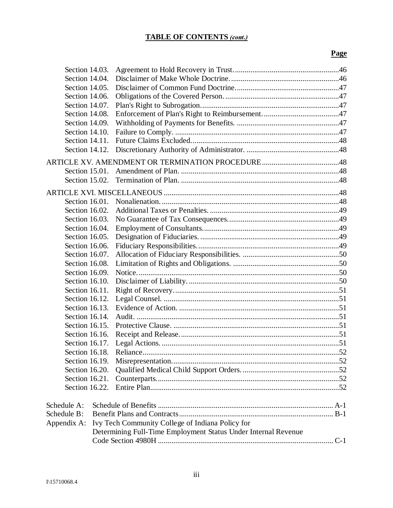## **TABLE OF CONTENTS (cont.)**

## **Page**

| Section 14.03.    |                                                                |  |
|-------------------|----------------------------------------------------------------|--|
| Section 14.04.    |                                                                |  |
| Section 14.05.    |                                                                |  |
| Section 14.06.    |                                                                |  |
| Section 14.07.    |                                                                |  |
| Section 14.08.    |                                                                |  |
| Section 14.09.    |                                                                |  |
| Section 14.10.    |                                                                |  |
| Section 14.11.    |                                                                |  |
| Section 14.12.    |                                                                |  |
|                   |                                                                |  |
| Section $15.01$ . |                                                                |  |
| Section 15.02.    |                                                                |  |
|                   |                                                                |  |
|                   |                                                                |  |
| Section 16.01.    |                                                                |  |
| Section 16.02.    |                                                                |  |
| Section 16.03.    |                                                                |  |
| Section 16.04.    |                                                                |  |
| Section 16.05.    |                                                                |  |
| Section 16.06.    |                                                                |  |
| Section 16.07.    |                                                                |  |
| Section 16.08.    |                                                                |  |
| Section 16.09.    |                                                                |  |
| Section 16.10.    |                                                                |  |
| Section 16.11.    |                                                                |  |
| Section 16.12.    |                                                                |  |
| Section 16.13.    |                                                                |  |
| Section 16.14.    |                                                                |  |
| Section 16.15.    |                                                                |  |
| Section 16.16.    |                                                                |  |
| Section 16.17.    |                                                                |  |
| Section 16.18.    |                                                                |  |
| Section 16.19.    |                                                                |  |
| Section 16.20.    |                                                                |  |
| Section 16.21.    |                                                                |  |
| Section 16.22.    |                                                                |  |
|                   |                                                                |  |
| Schedule A:       |                                                                |  |
| Schedule B:       |                                                                |  |
| Appendix A:       | Ivy Tech Community College of Indiana Policy for               |  |
|                   | Determining Full-Time Employment Status Under Internal Revenue |  |
|                   |                                                                |  |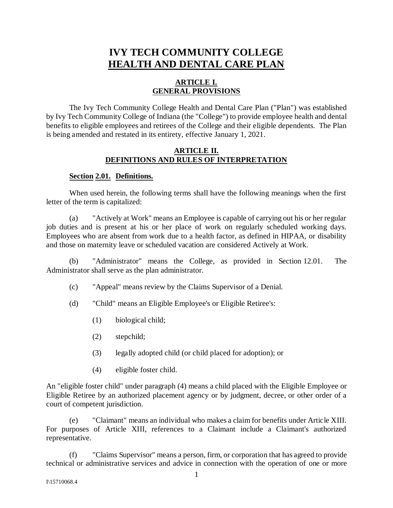## **IVY TECH COMMUNITY COLLEGE HEALTH AND DENTAL CARE PLAN**

## **ARTICLE I. GENERAL PROVISIONS**

The Ivy Tech Community College Health and Dental Care Plan ("Plan") was established by Ivy Tech Community College of Indiana (the "College") to provide employee health and dental benefits to eligible employees and retirees of the College and their eligible dependents. The Plan is being amended and restated in its entirety, effective January 1, 2021.

#### **ARTICLE II. DEFINITIONS AND RULES OF INTERPRETATION**

#### **Section 2.01. Definitions.**

When used herein, the following terms shall have the following meanings when the first letter of the term is capitalized:

(a) "Actively at Work" means an Employee is capable of carrying out his or her regular job duties and is present at his or her place of work on regularly scheduled working days. Employees who are absent from work due to a health factor, as defined in HIPAA, or disability and those on maternity leave or scheduled vacation are considered Actively at Work.

(b) "Administrator" means the College, as provided in Section 12.01. The Administrator shall serve as the plan administrator.

- (c) "Appeal" means review by the Claims Supervisor of a Denial.
- (d) "Child" means an Eligible Employee's or Eligible Retiree's:
	- (1) biological child;
	- (2) stepchild;
	- (3) legally adopted child (or child placed for adoption); or
	- (4) eligible foster child.

An "eligible foster child" under paragraph (4) means a child placed with the Eligible Employee or Eligible Retiree by an authorized placement agency or by judgment, decree, or other order of a court of competent jurisdiction.

(e) "Claimant" means an individual who makes a claim for benefits under Article XIII. For purposes of Article XIII, references to a Claimant include a Claimant's authorized representative.

(f) "Claims Supervisor" means a person, firm, or corporation that has agreed to provide technical or administrative services and advice in connection with the operation of one or more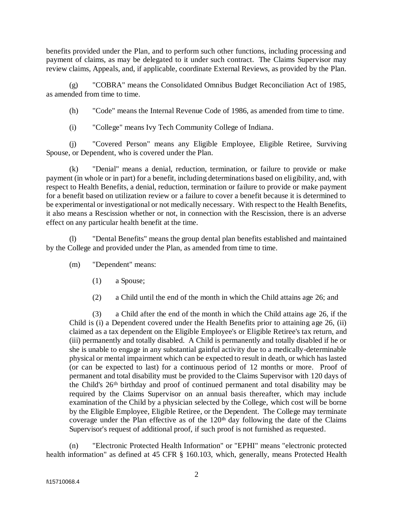benefits provided under the Plan, and to perform such other functions, including processing and payment of claims, as may be delegated to it under such contract. The Claims Supervisor may review claims, Appeals, and, if applicable, coordinate External Reviews, as provided by the Plan.

(g) "COBRA" means the Consolidated Omnibus Budget Reconciliation Act of 1985, as amended from time to time.

(h) "Code" means the Internal Revenue Code of 1986, as amended from time to time.

(i) "College" means Ivy Tech Community College of Indiana.

(j) "Covered Person" means any Eligible Employee, Eligible Retiree, Surviving Spouse, or Dependent, who is covered under the Plan.

(k) "Denial" means a denial, reduction, termination, or failure to provide or make payment (in whole or in part) for a benefit, including determinations based on eligibility, and, with respect to Health Benefits, a denial, reduction, termination or failure to provide or make payment for a benefit based on utilization review or a failure to cover a benefit because it is determined to be experimental or investigational or not medically necessary. With respect to the Health Benefits, it also means a Rescission whether or not, in connection with the Rescission, there is an adverse effect on any particular health benefit at the time.

(l) "Dental Benefits" means the group dental plan benefits established and maintained by the College and provided under the Plan, as amended from time to time.

(m) "Dependent" means:

- (1) a Spouse;
- (2) a Child until the end of the month in which the Child attains age 26; and

(3) a Child after the end of the month in which the Child attains age 26, if the Child is (i) a Dependent covered under the Health Benefits prior to attaining age 26, (ii) claimed as a tax dependent on the Eligible Employee's or Eligible Retiree's tax return, and (iii) permanently and totally disabled. A Child is permanently and totally disabled if he or she is unable to engage in any substantial gainful activity due to a medically-determinable physical or mental impairment which can be expected to result in death, or which has lasted (or can be expected to last) for a continuous period of 12 months or more. Proof of permanent and total disability must be provided to the Claims Supervisor with 120 days of the Child's 26th birthday and proof of continued permanent and total disability may be required by the Claims Supervisor on an annual basis thereafter, which may include examination of the Child by a physician selected by the College, which cost will be borne by the Eligible Employee, Eligible Retiree, or the Dependent. The College may terminate coverage under the Plan effective as of the 120<sup>th</sup> day following the date of the Claims Supervisor's request of additional proof, if such proof is not furnished as requested.

(n) "Electronic Protected Health Information" or "EPHI" means "electronic protected health information" as defined at 45 CFR § 160.103, which, generally, means Protected Health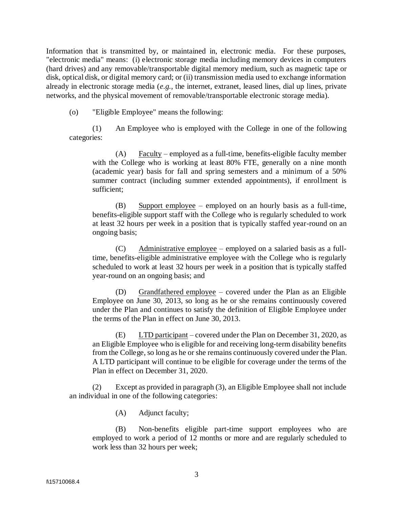Information that is transmitted by, or maintained in, electronic media. For these purposes, "electronic media" means: (i) electronic storage media including memory devices in computers (hard drives) and any removable/transportable digital memory medium, such as magnetic tape or disk, optical disk, or digital memory card; or (ii) transmission media used to exchange information already in electronic storage media (*e.g.,* the internet, extranet, leased lines, dial up lines, private networks, and the physical movement of removable/transportable electronic storage media).

(o) "Eligible Employee" means the following:

(1) An Employee who is employed with the College in one of the following categories:

 $(A)$  Faculty – employed as a full-time, benefits-eligible faculty member with the College who is working at least 80% FTE, generally on a nine month (academic year) basis for fall and spring semesters and a minimum of a 50% summer contract (including summer extended appointments), if enrollment is sufficient;

(B) Support employee – employed on an hourly basis as a full-time, benefits-eligible support staff with the College who is regularly scheduled to work at least 32 hours per week in a position that is typically staffed year-round on an ongoing basis;

(C) Administrative employee – employed on a salaried basis as a fulltime, benefits-eligible administrative employee with the College who is regularly scheduled to work at least 32 hours per week in a position that is typically staffed year-round on an ongoing basis; and

(D) Grandfathered employee – covered under the Plan as an Eligible Employee on June 30, 2013, so long as he or she remains continuously covered under the Plan and continues to satisfy the definition of Eligible Employee under the terms of the Plan in effect on June 30, 2013.

(E) LTD participant – covered under the Plan on December 31, 2020, as an Eligible Employee who is eligible for and receiving long-term disability benefits from the College, so long as he or she remains continuously covered under the Plan. A LTD participant will continue to be eligible for coverage under the terms of the Plan in effect on December 31, 2020.

(2) Except as provided in paragraph (3), an Eligible Employee shall not include an individual in one of the following categories:

(A) Adjunct faculty;

(B) Non-benefits eligible part-time support employees who are employed to work a period of 12 months or more and are regularly scheduled to work less than 32 hours per week;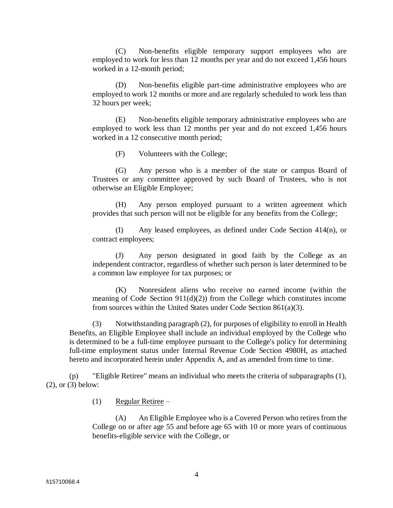(C) Non-benefits eligible temporary support employees who are employed to work for less than 12 months per year and do not exceed 1,456 hours worked in a 12-month period;

(D) Non-benefits eligible part-time administrative employees who are employed to work 12 months or more and are regularly scheduled to work less than 32 hours per week;

(E) Non-benefits eligible temporary administrative employees who are employed to work less than 12 months per year and do not exceed 1,456 hours worked in a 12 consecutive month period;

(F) Volunteers with the College;

(G) Any person who is a member of the state or campus Board of Trustees or any committee approved by such Board of Trustees, who is not otherwise an Eligible Employee;

(H) Any person employed pursuant to a written agreement which provides that such person will not be eligible for any benefits from the College;

(I) Any leased employees, as defined under Code Section 414(n), or contract employees;

(J) Any person designated in good faith by the College as an independent contractor, regardless of whether such person is later determined to be a common law employee for tax purposes; or

(K) Nonresident aliens who receive no earned income (within the meaning of Code Section  $911(d)(2)$  from the College which constitutes income from sources within the United States under Code Section 861(a)(3).

(3) Notwithstanding paragraph (2), for purposes of eligibility to enroll in Health Benefits, an Eligible Employee shall include an individual employed by the College who is determined to be a full-time employee pursuant to the College's policy for determining full-time employment status under Internal Revenue Code Section 4980H, as attached hereto and incorporated herein under Appendix A, and as amended from time to time.

(p) "Eligible Retiree" means an individual who meets the criteria of subparagraphs (1), (2), or (3) below:

(1) Regular Retiree –

(A) An Eligible Employee who is a Covered Person who retires from the College on or after age 55 and before age 65 with 10 or more years of continuous benefits-eligible service with the College, or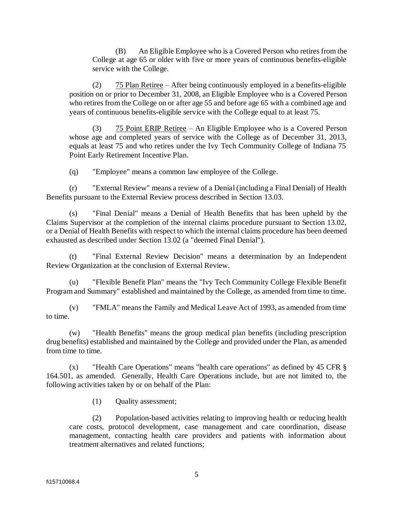(B) An Eligible Employee who is a Covered Person who retires from the College at age 65 or older with five or more years of continuous benefits-eligible service with the College.

(2) 75 Plan Retiree – After being continuously employed in a benefits-eligible position on or prior to December 31, 2008, an Eligible Employee who is a Covered Person who retires from the College on or after age 55 and before age 65 with a combined age and years of continuous benefits-eligible service with the College equal to at least 75.

(3) 75 Point ERIP Retiree – An Eligible Employee who is a Covered Person whose age and completed years of service with the College as of December 31, 2013, equals at least 75 and who retires under the Ivy Tech Community College of Indiana 75 Point Early Retirement Incentive Plan.

(q) "Employee" means a common law employee of the College.

(r) "External Review" means a review of a Denial (including a Final Denial) of Health Benefits pursuant to the External Review process described in Section 13.03.

(s) "Final Denial" means a Denial of Health Benefits that has been upheld by the Claims Supervisor at the completion of the internal claims procedure pursuant to Section 13.02, or a Denial of Health Benefits with respect to which the internal claims procedure has been deemed exhausted as described under Section 13.02 (a "deemed Final Denial").

(t) "Final External Review Decision" means a determination by an Independent Review Organization at the conclusion of External Review.

(u) "Flexible Benefit Plan" means the "Ivy Tech Community College Flexible Benefit Program and Summary" established and maintained by the College, as amended from time to time.

(v) "FMLA" means the Family and Medical Leave Act of 1993, as amended from time to time.

(w) "Health Benefits" means the group medical plan benefits (including prescription drug benefits) established and maintained by the College and provided under the Plan, as amended from time to time.

(x) "Health Care Operations" means "health care operations" as defined by 45 CFR § 164.501, as amended. Generally, Health Care Operations include, but are not limited to, the following activities taken by or on behalf of the Plan:

(1) Quality assessment;

(2) Population-based activities relating to improving health or reducing health care costs, protocol development, case management and care coordination, disease management, contacting health care providers and patients with information about treatment alternatives and related functions;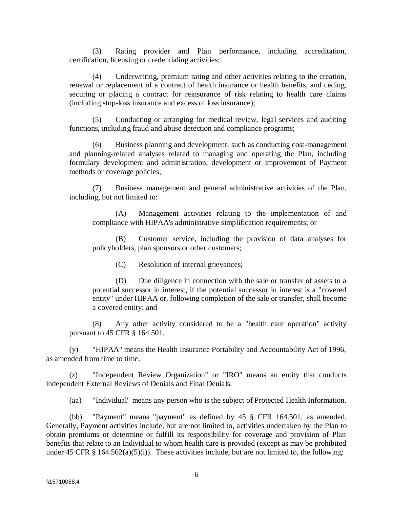(3) Rating provider and Plan performance, including accreditation, certification, licensing or credentialing activities;

(4) Underwriting, premium rating and other activities relating to the creation, renewal or replacement of a contract of health insurance or health benefits, and ceding, securing or placing a contract for reinsurance of risk relating to health care claims (including stop-loss insurance and excess of loss insurance);

(5) Conducting or arranging for medical review, legal services and auditing functions, including fraud and abuse detection and compliance programs;

(6) Business planning and development, such as conducting cost-management and planning-related analyses related to managing and operating the Plan, including formulary development and administration, development or improvement of Payment methods or coverage policies;

(7) Business management and general administrative activities of the Plan, including, but not limited to:

(A) Management activities relating to the implementation of and compliance with HIPAA's administrative simplification requirements; or

(B) Customer service, including the provision of data analyses for policyholders, plan sponsors or other customers;

(C) Resolution of internal grievances;

(D) Due diligence in connection with the sale or transfer of assets to a potential successor in interest, if the potential successor in interest is a "covered entity" under HIPAA or, following completion of the sale or transfer, shall become a covered entity; and

(8) Any other activity considered to be a "health care operation" activity pursuant to 45 CFR § 164.501.

(y) "HIPAA" means the Health Insurance Portability and Accountability Act of 1996, as amended from time to time.

(z) "Independent Review Organization" or "IRO" means an entity that conducts independent External Reviews of Denials and Final Denials.

(aa) "Individual" means any person who is the subject of Protected Health Information.

(bb) "Payment" means "payment" as defined by 45 § CFR 164.501, as amended. Generally, Payment activities include, but are not limited to, activities undertaken by the Plan to obtain premiums or determine or fulfill its responsibility for coverage and provision of Plan benefits that relate to an Individual to whom health care is provided (except as may be prohibited under 45 CFR  $\S$  164.502(a)(5)(i)). These activities include, but are not limited to, the following: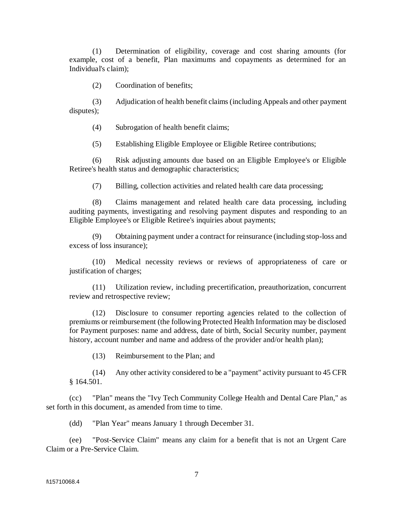(1) Determination of eligibility, coverage and cost sharing amounts (for example, cost of a benefit, Plan maximums and copayments as determined for an Individual's claim);

(2) Coordination of benefits;

(3) Adjudication of health benefit claims (including Appeals and other payment disputes);

(4) Subrogation of health benefit claims;

(5) Establishing Eligible Employee or Eligible Retiree contributions;

(6) Risk adjusting amounts due based on an Eligible Employee's or Eligible Retiree's health status and demographic characteristics;

(7) Billing, collection activities and related health care data processing;

(8) Claims management and related health care data processing, including auditing payments, investigating and resolving payment disputes and responding to an Eligible Employee's or Eligible Retiree's inquiries about payments;

(9) Obtaining payment under a contract for reinsurance (including stop-loss and excess of loss insurance);

(10) Medical necessity reviews or reviews of appropriateness of care or justification of charges;

(11) Utilization review, including precertification, preauthorization, concurrent review and retrospective review;

(12) Disclosure to consumer reporting agencies related to the collection of premiums or reimbursement (the following Protected Health Information may be disclosed for Payment purposes: name and address, date of birth, Social Security number, payment history, account number and name and address of the provider and/or health plan);

(13) Reimbursement to the Plan; and

(14) Any other activity considered to be a "payment" activity pursuant to 45 CFR § 164.501.

(cc) "Plan" means the "Ivy Tech Community College Health and Dental Care Plan," as set forth in this document, as amended from time to time.

(dd) "Plan Year" means January 1 through December 31.

(ee) "Post-Service Claim" means any claim for a benefit that is not an Urgent Care Claim or a Pre-Service Claim.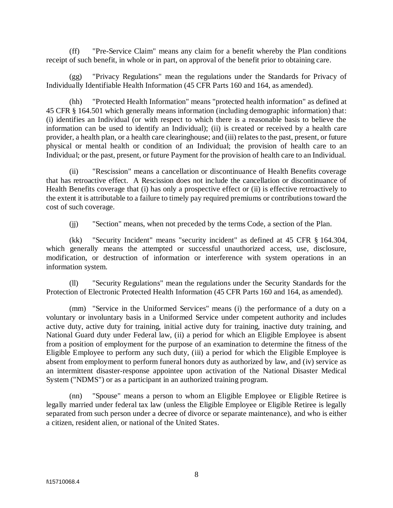(ff) "Pre-Service Claim" means any claim for a benefit whereby the Plan conditions receipt of such benefit, in whole or in part, on approval of the benefit prior to obtaining care.

(gg) "Privacy Regulations" mean the regulations under the Standards for Privacy of Individually Identifiable Health Information (45 CFR Parts 160 and 164, as amended).

(hh) "Protected Health Information" means "protected health information" as defined at 45 CFR § 164.501 which generally means information (including demographic information) that: (i) identifies an Individual (or with respect to which there is a reasonable basis to believe the information can be used to identify an Individual); (ii) is created or received by a health care provider, a health plan, or a health care clearinghouse; and (iii) relates to the past, present, or future physical or mental health or condition of an Individual; the provision of health care to an Individual; or the past, present, or future Payment for the provision of health care to an Individual.

(ii) "Rescission" means a cancellation or discontinuance of Health Benefits coverage that has retroactive effect. A Rescission does not include the cancellation or discontinuance of Health Benefits coverage that (i) has only a prospective effect or (ii) is effective retroactively to the extent it is attributable to a failure to timely pay required premiums or contributions toward the cost of such coverage.

(jj) "Section" means, when not preceded by the terms Code, a section of the Plan.

(kk) "Security Incident" means "security incident" as defined at 45 CFR § 164.304, which generally means the attempted or successful unauthorized access, use, disclosure, modification, or destruction of information or interference with system operations in an information system.

(ll) "Security Regulations" mean the regulations under the Security Standards for the Protection of Electronic Protected Health Information (45 CFR Parts 160 and 164, as amended).

(mm) "Service in the Uniformed Services" means (i) the performance of a duty on a voluntary or involuntary basis in a Uniformed Service under competent authority and includes active duty, active duty for training, initial active duty for training, inactive duty training, and National Guard duty under Federal law, (ii) a period for which an Eligible Employee is absent from a position of employment for the purpose of an examination to determine the fitness of the Eligible Employee to perform any such duty, (iii) a period for which the Eligible Employee is absent from employment to perform funeral honors duty as authorized by law, and (iv) service as an intermittent disaster-response appointee upon activation of the National Disaster Medical System ("NDMS") or as a participant in an authorized training program.

(nn) "Spouse" means a person to whom an Eligible Employee or Eligible Retiree is legally married under federal tax law (unless the Eligible Employee or Eligible Retiree is legally separated from such person under a decree of divorce or separate maintenance), and who is either a citizen, resident alien, or national of the United States.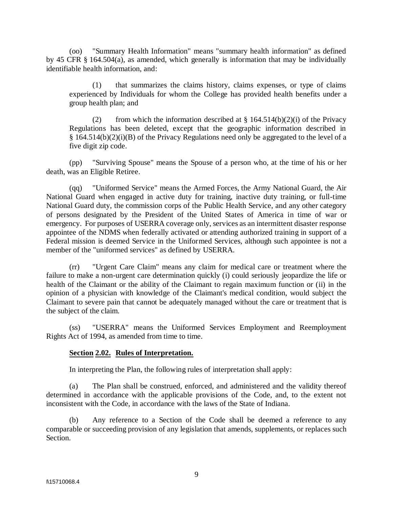(oo) "Summary Health Information" means "summary health information" as defined by 45 CFR § 164.504(a), as amended, which generally is information that may be individually identifiable health information, and:

(1) that summarizes the claims history, claims expenses, or type of claims experienced by Individuals for whom the College has provided health benefits under a group health plan; and

(2) from which the information described at  $\S$  164.514(b)(2)(i) of the Privacy Regulations has been deleted, except that the geographic information described in § 164.514(b)(2)(i)(B) of the Privacy Regulations need only be aggregated to the level of a five digit zip code.

(pp) "Surviving Spouse" means the Spouse of a person who, at the time of his or her death, was an Eligible Retiree.

(qq) "Uniformed Service" means the Armed Forces, the Army National Guard, the Air National Guard when engaged in active duty for training, inactive duty training, or full-time National Guard duty, the commission corps of the Public Health Service, and any other category of persons designated by the President of the United States of America in time of war or emergency. For purposes of USERRA coverage only, services as an intermittent disaster response appointee of the NDMS when federally activated or attending authorized training in support of a Federal mission is deemed Service in the Uniformed Services, although such appointee is not a member of the "uniformed services" as defined by USERRA.

(rr) "Urgent Care Claim" means any claim for medical care or treatment where the failure to make a non-urgent care determination quickly (i) could seriously jeopardize the life or health of the Claimant or the ability of the Claimant to regain maximum function or (ii) in the opinion of a physician with knowledge of the Claimant's medical condition, would subject the Claimant to severe pain that cannot be adequately managed without the care or treatment that is the subject of the claim.

(ss) "USERRA" means the Uniformed Services Employment and Reemployment Rights Act of 1994, as amended from time to time.

## **Section 2.02. Rules of Interpretation.**

In interpreting the Plan, the following rules of interpretation shall apply:

(a) The Plan shall be construed, enforced, and administered and the validity thereof determined in accordance with the applicable provisions of the Code, and, to the extent not inconsistent with the Code, in accordance with the laws of the State of Indiana.

(b) Any reference to a Section of the Code shall be deemed a reference to any comparable or succeeding provision of any legislation that amends, supplements, or replaces such Section.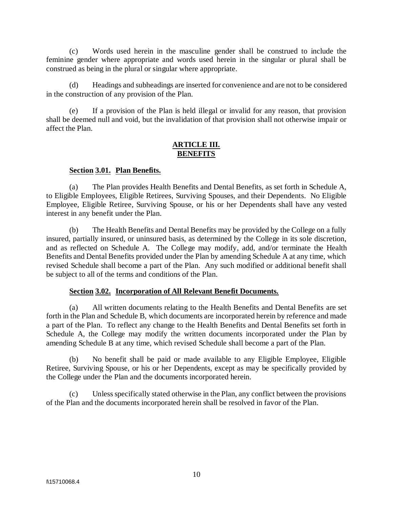(c) Words used herein in the masculine gender shall be construed to include the feminine gender where appropriate and words used herein in the singular or plural shall be construed as being in the plural or singular where appropriate.

(d) Headings and subheadings are inserted for convenience and are not to be considered in the construction of any provision of the Plan.

(e) If a provision of the Plan is held illegal or invalid for any reason, that provision shall be deemed null and void, but the invalidation of that provision shall not otherwise impair or affect the Plan.

#### **ARTICLE III. BENEFITS**

#### **Section 3.01. Plan Benefits.**

(a) The Plan provides Health Benefits and Dental Benefits, as set forth in Schedule A, to Eligible Employees, Eligible Retirees, Surviving Spouses, and their Dependents. No Eligible Employee, Eligible Retiree, Surviving Spouse, or his or her Dependents shall have any vested interest in any benefit under the Plan.

(b) The Health Benefits and Dental Benefits may be provided by the College on a fully insured, partially insured, or uninsured basis, as determined by the College in its sole discretion, and as reflected on Schedule A. The College may modify, add, and/or terminate the Health Benefits and Dental Benefits provided under the Plan by amending Schedule A at any time, which revised Schedule shall become a part of the Plan. Any such modified or additional benefit shall be subject to all of the terms and conditions of the Plan.

## **Section 3.02. Incorporation of All Relevant Benefit Documents.**

(a) All written documents relating to the Health Benefits and Dental Benefits are set forth in the Plan and Schedule B, which documents are incorporated herein by reference and made a part of the Plan. To reflect any change to the Health Benefits and Dental Benefits set forth in Schedule A, the College may modify the written documents incorporated under the Plan by amending Schedule B at any time, which revised Schedule shall become a part of the Plan.

(b) No benefit shall be paid or made available to any Eligible Employee, Eligible Retiree, Surviving Spouse, or his or her Dependents, except as may be specifically provided by the College under the Plan and the documents incorporated herein.

(c) Unless specifically stated otherwise in the Plan, any conflict between the provisions of the Plan and the documents incorporated herein shall be resolved in favor of the Plan.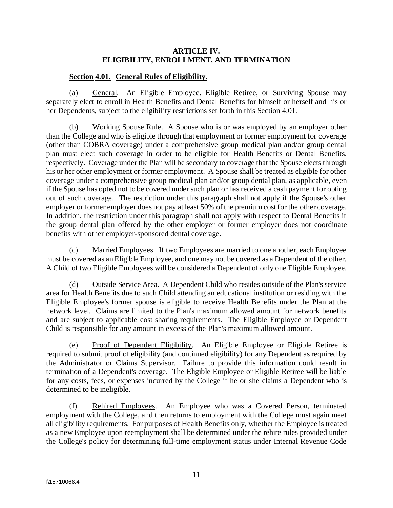## **ARTICLE IV. ELIGIBILITY, ENROLLMENT, AND TERMINATION**

## **Section 4.01. General Rules of Eligibility.**

(a) General. An Eligible Employee, Eligible Retiree, or Surviving Spouse may separately elect to enroll in Health Benefits and Dental Benefits for himself or herself and his or her Dependents, subject to the eligibility restrictions set forth in this Section 4.01.

(b) Working Spouse Rule. A Spouse who is or was employed by an employer other than the College and who is eligible through that employment or former employment for coverage (other than COBRA coverage) under a comprehensive group medical plan and/or group dental plan must elect such coverage in order to be eligible for Health Benefits or Dental Benefits, respectively. Coverage under the Plan will be secondary to coverage that the Spouse elects through his or her other employment or former employment. A Spouse shall be treated as eligible for other coverage under a comprehensive group medical plan and/or group dental plan, as applicable, even if the Spouse has opted not to be covered under such plan or has received a cash payment for opting out of such coverage. The restriction under this paragraph shall not apply if the Spouse's other employer or former employer does not pay at least 50% of the premium cost for the other coverage. In addition, the restriction under this paragraph shall not apply with respect to Dental Benefits if the group dental plan offered by the other employer or former employer does not coordinate benefits with other employer-sponsored dental coverage.

(c) Married Employees. If two Employees are married to one another, each Employee must be covered as an Eligible Employee, and one may not be covered as a Dependent of the other. A Child of two Eligible Employees will be considered a Dependent of only one Eligible Employee.

(d) Outside Service Area. A Dependent Child who resides outside of the Plan's service area for Health Benefits due to such Child attending an educational institution or residing with the Eligible Employee's former spouse is eligible to receive Health Benefits under the Plan at the network level. Claims are limited to the Plan's maximum allowed amount for network benefits and are subject to applicable cost sharing requirements. The Eligible Employee or Dependent Child is responsible for any amount in excess of the Plan's maximum allowed amount.

(e) Proof of Dependent Eligibility. An Eligible Employee or Eligible Retiree is required to submit proof of eligibility (and continued eligibility) for any Dependent as required by the Administrator or Claims Supervisor. Failure to provide this information could result in termination of a Dependent's coverage. The Eligible Employee or Eligible Retiree will be liable for any costs, fees, or expenses incurred by the College if he or she claims a Dependent who is determined to be ineligible.

(f) Rehired Employees. An Employee who was a Covered Person, terminated employment with the College, and then returns to employment with the College must again meet all eligibility requirements. For purposes of Health Benefits only, whether the Employee is treated as a new Employee upon reemployment shall be determined under the rehire rules provided under the College's policy for determining full-time employment status under Internal Revenue Code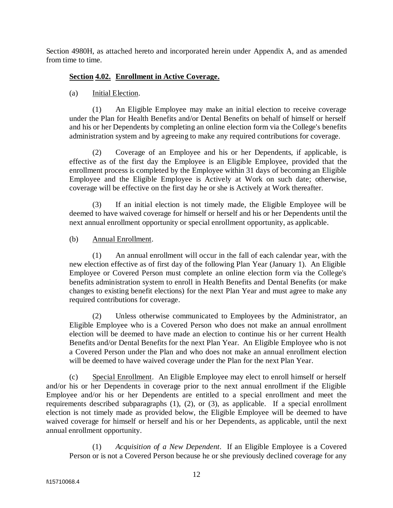Section 4980H, as attached hereto and incorporated herein under Appendix A, and as amended from time to time.

## **Section 4.02. Enrollment in Active Coverage.**

## (a) Initial Election.

(1) An Eligible Employee may make an initial election to receive coverage under the Plan for Health Benefits and/or Dental Benefits on behalf of himself or herself and his or her Dependents by completing an online election form via the College's benefits administration system and by agreeing to make any required contributions for coverage.

(2) Coverage of an Employee and his or her Dependents, if applicable, is effective as of the first day the Employee is an Eligible Employee, provided that the enrollment process is completed by the Employee within 31 days of becoming an Eligible Employee and the Eligible Employee is Actively at Work on such date; otherwise, coverage will be effective on the first day he or she is Actively at Work thereafter.

(3) If an initial election is not timely made, the Eligible Employee will be deemed to have waived coverage for himself or herself and his or her Dependents until the next annual enrollment opportunity or special enrollment opportunity, as applicable.

## (b) Annual Enrollment.

(1) An annual enrollment will occur in the fall of each calendar year, with the new election effective as of first day of the following Plan Year (January 1). An Eligible Employee or Covered Person must complete an online election form via the College's benefits administration system to enroll in Health Benefits and Dental Benefits (or make changes to existing benefit elections) for the next Plan Year and must agree to make any required contributions for coverage.

(2) Unless otherwise communicated to Employees by the Administrator, an Eligible Employee who is a Covered Person who does not make an annual enrollment election will be deemed to have made an election to continue his or her current Health Benefits and/or Dental Benefits for the next Plan Year. An Eligible Employee who is not a Covered Person under the Plan and who does not make an annual enrollment election will be deemed to have waived coverage under the Plan for the next Plan Year.

(c) Special Enrollment.An Eligible Employee may elect to enroll himself or herself and/or his or her Dependents in coverage prior to the next annual enrollment if the Eligible Employee and/or his or her Dependents are entitled to a special enrollment and meet the requirements described subparagraphs (1), (2), or (3), as applicable. If a special enrollment election is not timely made as provided below, the Eligible Employee will be deemed to have waived coverage for himself or herself and his or her Dependents, as applicable, until the next annual enrollment opportunity.

(1) *Acquisition of a New Dependent*. If an Eligible Employee is a Covered Person or is not a Covered Person because he or she previously declined coverage for any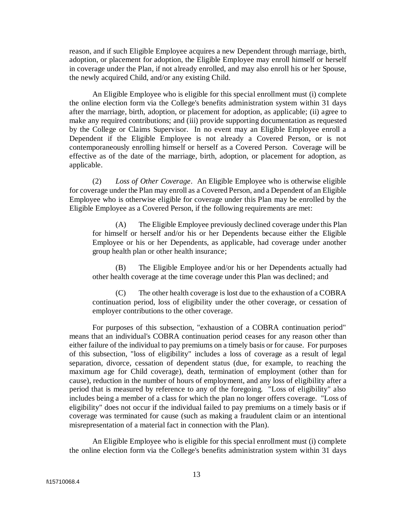reason, and if such Eligible Employee acquires a new Dependent through marriage, birth, adoption, or placement for adoption, the Eligible Employee may enroll himself or herself in coverage under the Plan, if not already enrolled, and may also enroll his or her Spouse, the newly acquired Child, and/or any existing Child.

An Eligible Employee who is eligible for this special enrollment must (i) complete the online election form via the College's benefits administration system within 31 days after the marriage, birth, adoption, or placement for adoption, as applicable; (ii) agree to make any required contributions; and (iii) provide supporting documentation as requested by the College or Claims Supervisor. In no event may an Eligible Employee enroll a Dependent if the Eligible Employee is not already a Covered Person, or is not contemporaneously enrolling himself or herself as a Covered Person. Coverage will be effective as of the date of the marriage, birth, adoption, or placement for adoption, as applicable.

(2) *Loss of Other Coverage*. An Eligible Employee who is otherwise eligible for coverage under the Plan may enroll as a Covered Person, and a Dependent of an Eligible Employee who is otherwise eligible for coverage under this Plan may be enrolled by the Eligible Employee as a Covered Person, if the following requirements are met:

(A) The Eligible Employee previously declined coverage under this Plan for himself or herself and/or his or her Dependents because either the Eligible Employee or his or her Dependents, as applicable, had coverage under another group health plan or other health insurance;

(B) The Eligible Employee and/or his or her Dependents actually had other health coverage at the time coverage under this Plan was declined; and

(C) The other health coverage is lost due to the exhaustion of a COBRA continuation period, loss of eligibility under the other coverage, or cessation of employer contributions to the other coverage.

For purposes of this subsection, "exhaustion of a COBRA continuation period" means that an individual's COBRA continuation period ceases for any reason other than either failure of the individual to pay premiums on a timely basis or for cause. For purposes of this subsection, "loss of eligibility" includes a loss of coverage as a result of legal separation, divorce, cessation of dependent status (due, for example, to reaching the maximum age for Child coverage), death, termination of employment (other than for cause), reduction in the number of hours of employment, and any loss of eligibility after a period that is measured by reference to any of the foregoing. "Loss of eligibility" also includes being a member of a class for which the plan no longer offers coverage. "Loss of eligibility" does not occur if the individual failed to pay premiums on a timely basis or if coverage was terminated for cause (such as making a fraudulent claim or an intentional misrepresentation of a material fact in connection with the Plan).

An Eligible Employee who is eligible for this special enrollment must (i) complete the online election form via the College's benefits administration system within 31 days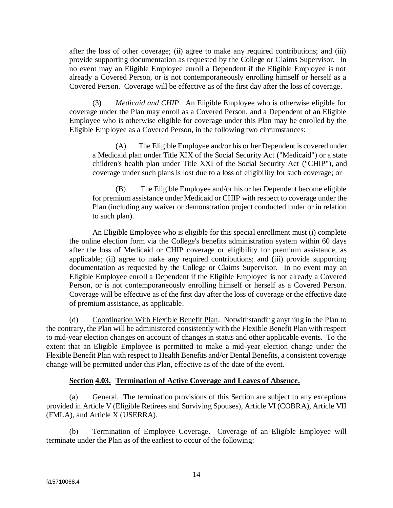after the loss of other coverage; (ii) agree to make any required contributions; and (iii) provide supporting documentation as requested by the College or Claims Supervisor. In no event may an Eligible Employee enroll a Dependent if the Eligible Employee is not already a Covered Person, or is not contemporaneously enrolling himself or herself as a Covered Person. Coverage will be effective as of the first day after the loss of coverage.

(3) *Medicaid and CHIP*. An Eligible Employee who is otherwise eligible for coverage under the Plan may enroll as a Covered Person, and a Dependent of an Eligible Employee who is otherwise eligible for coverage under this Plan may be enrolled by the Eligible Employee as a Covered Person, in the following two circumstances:

(A) The Eligible Employee and/or his or her Dependent is covered under a Medicaid plan under Title XIX of the Social Security Act ("Medicaid") or a state children's health plan under Title XXI of the Social Security Act ("CHIP"), and coverage under such plans is lost due to a loss of eligibility for such coverage; or

(B) The Eligible Employee and/or his or her Dependent become eligible for premium assistance under Medicaid or CHIP with respect to coverage under the Plan (including any waiver or demonstration project conducted under or in relation to such plan).

An Eligible Employee who is eligible for this special enrollment must (i) complete the online election form via the College's benefits administration system within 60 days after the loss of Medicaid or CHIP coverage or eligibility for premium assistance, as applicable; (ii) agree to make any required contributions; and (iii) provide supporting documentation as requested by the College or Claims Supervisor. In no event may an Eligible Employee enroll a Dependent if the Eligible Employee is not already a Covered Person, or is not contemporaneously enrolling himself or herself as a Covered Person. Coverage will be effective as of the first day after the loss of coverage or the effective date of premium assistance, as applicable.

(d) Coordination With Flexible Benefit Plan. Notwithstanding anything in the Plan to the contrary, the Plan will be administered consistently with the Flexible Benefit Plan with respect to mid-year election changes on account of changes in status and other applicable events. To the extent that an Eligible Employee is permitted to make a mid-year election change under the Flexible Benefit Plan with respect to Health Benefits and/or Dental Benefits, a consistent coverage change will be permitted under this Plan, effective as of the date of the event.

#### **Section 4.03. Termination of Active Coverage and Leaves of Absence.**

(a) General. The termination provisions of this Section are subject to any exceptions provided in Article V (Eligible Retirees and Surviving Spouses), Article VI (COBRA), Article VII (FMLA), and Article X (USERRA).

(b) Termination of Employee Coverage. Coverage of an Eligible Employee will terminate under the Plan as of the earliest to occur of the following: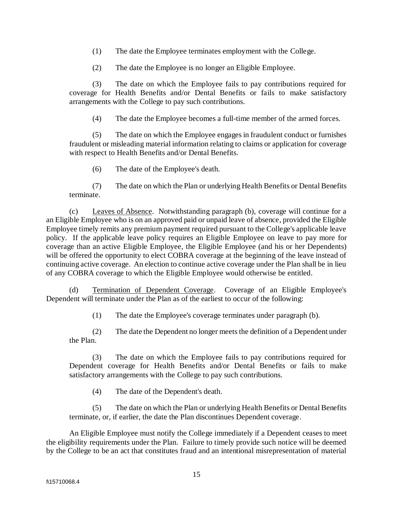- (1) The date the Employee terminates employment with the College.
- (2) The date the Employee is no longer an Eligible Employee.

(3) The date on which the Employee fails to pay contributions required for coverage for Health Benefits and/or Dental Benefits or fails to make satisfactory arrangements with the College to pay such contributions.

(4) The date the Employee becomes a full-time member of the armed forces.

(5) The date on which the Employee engages in fraudulent conduct or furnishes fraudulent or misleading material information relating to claims or application for coverage with respect to Health Benefits and/or Dental Benefits.

(6) The date of the Employee's death.

(7) The date on which the Plan or underlying Health Benefits or Dental Benefits terminate.

(c) Leaves of Absence. Notwithstanding paragraph (b), coverage will continue for a an Eligible Employee who is on an approved paid or unpaid leave of absence, provided the Eligible Employee timely remits any premium payment required pursuant to the College's applicable leave policy. If the applicable leave policy requires an Eligible Employee on leave to pay more for coverage than an active Eligible Employee, the Eligible Employee (and his or her Dependents) will be offered the opportunity to elect COBRA coverage at the beginning of the leave instead of continuing active coverage. An election to continue active coverage under the Plan shall be in lieu of any COBRA coverage to which the Eligible Employee would otherwise be entitled.

(d) Termination of Dependent Coverage. Coverage of an Eligible Employee's Dependent will terminate under the Plan as of the earliest to occur of the following:

(1) The date the Employee's coverage terminates under paragraph (b).

(2) The date the Dependent no longer meets the definition of a Dependent under the Plan.

(3) The date on which the Employee fails to pay contributions required for Dependent coverage for Health Benefits and/or Dental Benefits or fails to make satisfactory arrangements with the College to pay such contributions.

(4) The date of the Dependent's death.

(5) The date on which the Plan or underlying Health Benefits or Dental Benefits terminate, or, if earlier, the date the Plan discontinues Dependent coverage.

An Eligible Employee must notify the College immediately if a Dependent ceases to meet the eligibility requirements under the Plan. Failure to timely provide such notice will be deemed by the College to be an act that constitutes fraud and an intentional misrepresentation of material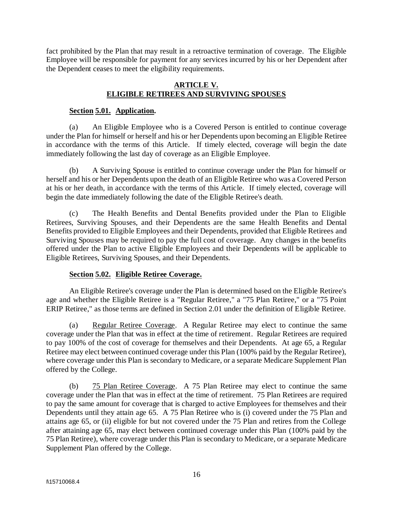fact prohibited by the Plan that may result in a retroactive termination of coverage. The Eligible Employee will be responsible for payment for any services incurred by his or her Dependent after the Dependent ceases to meet the eligibility requirements.

## **ARTICLE V. ELIGIBLE RETIREES AND SURVIVING SPOUSES**

## **Section 5.01. Application.**

(a) An Eligible Employee who is a Covered Person is entitled to continue coverage under the Plan for himself or herself and his or her Dependents upon becoming an Eligible Retiree in accordance with the terms of this Article. If timely elected, coverage will begin the date immediately following the last day of coverage as an Eligible Employee.

(b) A Surviving Spouse is entitled to continue coverage under the Plan for himself or herself and his or her Dependents upon the death of an Eligible Retiree who was a Covered Person at his or her death, in accordance with the terms of this Article. If timely elected, coverage will begin the date immediately following the date of the Eligible Retiree's death.

(c) The Health Benefits and Dental Benefits provided under the Plan to Eligible Retirees, Surviving Spouses, and their Dependents are the same Health Benefits and Dental Benefits provided to Eligible Employees and their Dependents, provided that Eligible Retirees and Surviving Spouses may be required to pay the full cost of coverage. Any changes in the benefits offered under the Plan to active Eligible Employees and their Dependents will be applicable to Eligible Retirees, Surviving Spouses, and their Dependents.

## **Section 5.02. Eligible Retiree Coverage.**

An Eligible Retiree's coverage under the Plan is determined based on the Eligible Retiree's age and whether the Eligible Retiree is a "Regular Retiree," a "75 Plan Retiree," or a "75 Point ERIP Retiree," as those terms are defined in Section 2.01 under the definition of Eligible Retiree.

(a) Regular Retiree Coverage. A Regular Retiree may elect to continue the same coverage under the Plan that was in effect at the time of retirement. Regular Retirees are required to pay 100% of the cost of coverage for themselves and their Dependents. At age 65, a Regular Retiree may elect between continued coverage under this Plan (100% paid by the Regular Retiree), where coverage under this Plan is secondary to Medicare, or a separate Medicare Supplement Plan offered by the College.

(b) 75 Plan Retiree Coverage. A 75 Plan Retiree may elect to continue the same coverage under the Plan that was in effect at the time of retirement. 75 Plan Retirees are required to pay the same amount for coverage that is charged to active Employees for themselves and their Dependents until they attain age 65. A 75 Plan Retiree who is (i) covered under the 75 Plan and attains age 65, or (ii) eligible for but not covered under the 75 Plan and retires from the College after attaining age 65, may elect between continued coverage under this Plan (100% paid by the 75 Plan Retiree), where coverage under this Plan is secondary to Medicare, or a separate Medicare Supplement Plan offered by the College.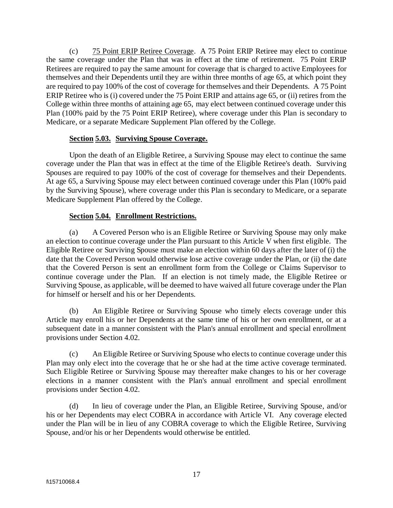(c) 75 Point ERIP Retiree Coverage. A 75 Point ERIP Retiree may elect to continue the same coverage under the Plan that was in effect at the time of retirement. 75 Point ERIP Retirees are required to pay the same amount for coverage that is charged to active Employees for themselves and their Dependents until they are within three months of age 65, at which point they are required to pay 100% of the cost of coverage for themselves and their Dependents. A 75 Point ERIP Retiree who is (i) covered under the 75 Point ERIP and attains age 65, or (ii) retires from the College within three months of attaining age 65, may elect between continued coverage under this Plan (100% paid by the 75 Point ERIP Retiree), where coverage under this Plan is secondary to Medicare, or a separate Medicare Supplement Plan offered by the College.

## **Section 5.03. Surviving Spouse Coverage.**

Upon the death of an Eligible Retiree, a Surviving Spouse may elect to continue the same coverage under the Plan that was in effect at the time of the Eligible Retiree's death. Surviving Spouses are required to pay 100% of the cost of coverage for themselves and their Dependents. At age 65, a Surviving Spouse may elect between continued coverage under this Plan (100% paid by the Surviving Spouse), where coverage under this Plan is secondary to Medicare, or a separate Medicare Supplement Plan offered by the College.

## **Section 5.04. Enrollment Restrictions.**

(a) A Covered Person who is an Eligible Retiree or Surviving Spouse may only make an election to continue coverage under the Plan pursuant to this Article V when first eligible. The Eligible Retiree or Surviving Spouse must make an election within 60 days after the later of (i) the date that the Covered Person would otherwise lose active coverage under the Plan, or (ii) the date that the Covered Person is sent an enrollment form from the College or Claims Supervisor to continue coverage under the Plan. If an election is not timely made, the Eligible Retiree or Surviving Spouse, as applicable, will be deemed to have waived all future coverage under the Plan for himself or herself and his or her Dependents.

(b) An Eligible Retiree or Surviving Spouse who timely elects coverage under this Article may enroll his or her Dependents at the same time of his or her own enrollment, or at a subsequent date in a manner consistent with the Plan's annual enrollment and special enrollment provisions under Section 4.02.

(c) An Eligible Retiree or Surviving Spouse who elects to continue coverage under this Plan may only elect into the coverage that he or she had at the time active coverage terminated. Such Eligible Retiree or Surviving Spouse may thereafter make changes to his or her coverage elections in a manner consistent with the Plan's annual enrollment and special enrollment provisions under Section 4.02.

(d) In lieu of coverage under the Plan, an Eligible Retiree, Surviving Spouse, and/or his or her Dependents may elect COBRA in accordance with Article VI. Any coverage elected under the Plan will be in lieu of any COBRA coverage to which the Eligible Retiree, Surviving Spouse, and/or his or her Dependents would otherwise be entitled.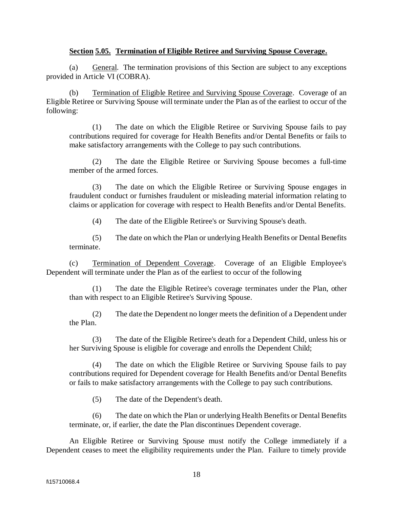## **Section 5.05. Termination of Eligible Retiree and Surviving Spouse Coverage.**

(a) General. The termination provisions of this Section are subject to any exceptions provided in Article VI (COBRA).

(b) Termination of Eligible Retiree and Surviving Spouse Coverage. Coverage of an Eligible Retiree or Surviving Spouse will terminate under the Plan as of the earliest to occur of the following:

(1) The date on which the Eligible Retiree or Surviving Spouse fails to pay contributions required for coverage for Health Benefits and/or Dental Benefits or fails to make satisfactory arrangements with the College to pay such contributions.

(2) The date the Eligible Retiree or Surviving Spouse becomes a full-time member of the armed forces.

(3) The date on which the Eligible Retiree or Surviving Spouse engages in fraudulent conduct or furnishes fraudulent or misleading material information relating to claims or application for coverage with respect to Health Benefits and/or Dental Benefits.

(4) The date of the Eligible Retiree's or Surviving Spouse's death.

(5) The date on which the Plan or underlying Health Benefits or Dental Benefits terminate.

(c) Termination of Dependent Coverage. Coverage of an Eligible Employee's Dependent will terminate under the Plan as of the earliest to occur of the following

(1) The date the Eligible Retiree's coverage terminates under the Plan, other than with respect to an Eligible Retiree's Surviving Spouse.

(2) The date the Dependent no longer meets the definition of a Dependent under the Plan.

(3) The date of the Eligible Retiree's death for a Dependent Child, unless his or her Surviving Spouse is eligible for coverage and enrolls the Dependent Child;

(4) The date on which the Eligible Retiree or Surviving Spouse fails to pay contributions required for Dependent coverage for Health Benefits and/or Dental Benefits or fails to make satisfactory arrangements with the College to pay such contributions.

(5) The date of the Dependent's death.

(6) The date on which the Plan or underlying Health Benefits or Dental Benefits terminate, or, if earlier, the date the Plan discontinues Dependent coverage.

An Eligible Retiree or Surviving Spouse must notify the College immediately if a Dependent ceases to meet the eligibility requirements under the Plan. Failure to timely provide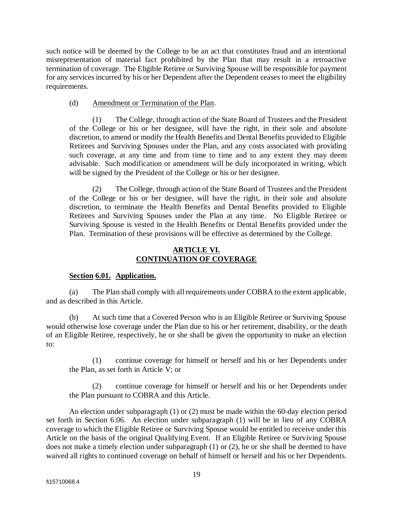such notice will be deemed by the College to be an act that constitutes fraud and an intentional misrepresentation of material fact prohibited by the Plan that may result in a retroactive termination of coverage. The Eligible Retiree or Surviving Spouse will be responsible for payment for any services incurred by his or her Dependent after the Dependent ceasesto meet the eligibility requirements.

## (d) Amendment or Termination of the Plan.

(1) The College, through action of the State Board of Trustees and the President of the College or his or her designee, will have the right, in their sole and absolute discretion, to amend or modify the Health Benefits and Dental Benefits provided to Eligible Retirees and Surviving Spouses under the Plan, and any costs associated with providing such coverage, at any time and from time to time and to any extent they may deem advisable. Such modification or amendment will be duly incorporated in writing, which will be signed by the President of the College or his or her designee.

(2) The College, through action of the State Board of Trustees and the President of the College or his or her designee, will have the right, in their sole and absolute discretion, to terminate the Health Benefits and Dental Benefits provided to Eligible Retirees and Surviving Spouses under the Plan at any time. No Eligible Retiree or Surviving Spouse is vested in the Health Benefits or Dental Benefits provided under the Plan. Termination of these provisions will be effective as determined by the College.

## **ARTICLE VI. CONTINUATION OF COVERAGE**

## **Section 6.01. Application.**

(a) The Plan shall comply with all requirements under COBRA to the extent applicable, and as described in this Article.

(b) At such time that a Covered Person who is an Eligible Retiree or Surviving Spouse would otherwise lose coverage under the Plan due to his or her retirement, disability, or the death of an Eligible Retiree, respectively, he or she shall be given the opportunity to make an election to:

(1) continue coverage for himself or herself and his or her Dependents under the Plan, as set forth in Article V; or

(2) continue coverage for himself or herself and his or her Dependents under the Plan pursuant to COBRA and this Article.

An election under subparagraph (1) or (2) must be made within the 60-day election period set forth in Section 6.06. An election under subparagraph (1) will be in lieu of any COBRA coverage to which the Eligible Retiree or Surviving Spouse would be entitled to receive under this Article on the basis of the original Qualifying Event. If an Eligible Retiree or Surviving Spouse does not make a timely election under subparagraph (1) or (2), he or she shall be deemed to have waived all rights to continued coverage on behalf of himself or herself and his or her Dependents.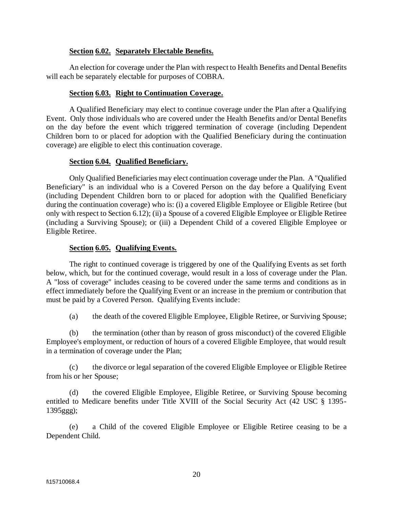## **Section 6.02. Separately Electable Benefits.**

An election for coverage under the Plan with respect to Health Benefits and Dental Benefits will each be separately electable for purposes of COBRA.

#### **Section 6.03. Right to Continuation Coverage.**

A Qualified Beneficiary may elect to continue coverage under the Plan after a Qualifying Event. Only those individuals who are covered under the Health Benefits and/or Dental Benefits on the day before the event which triggered termination of coverage (including Dependent Children born to or placed for adoption with the Qualified Beneficiary during the continuation coverage) are eligible to elect this continuation coverage.

#### **Section 6.04. Qualified Beneficiary.**

Only Qualified Beneficiaries may elect continuation coverage under the Plan. A "Qualified Beneficiary" is an individual who is a Covered Person on the day before a Qualifying Event (including Dependent Children born to or placed for adoption with the Qualified Beneficiary during the continuation coverage) who is: (i) a covered Eligible Employee or Eligible Retiree (but only with respect to Section 6.12); (ii) a Spouse of a covered Eligible Employee or Eligible Retiree (including a Surviving Spouse); or (iii) a Dependent Child of a covered Eligible Employee or Eligible Retiree.

#### **Section 6.05. Qualifying Events.**

The right to continued coverage is triggered by one of the Qualifying Events as set forth below, which, but for the continued coverage, would result in a loss of coverage under the Plan. A "loss of coverage" includes ceasing to be covered under the same terms and conditions as in effect immediately before the Qualifying Event or an increase in the premium or contribution that must be paid by a Covered Person. Qualifying Events include:

(a) the death of the covered Eligible Employee, Eligible Retiree, or Surviving Spouse;

(b) the termination (other than by reason of gross misconduct) of the covered Eligible Employee's employment, or reduction of hours of a covered Eligible Employee, that would result in a termination of coverage under the Plan;

(c) the divorce or legal separation of the covered Eligible Employee or Eligible Retiree from his or her Spouse;

(d) the covered Eligible Employee, Eligible Retiree, or Surviving Spouse becoming entitled to Medicare benefits under Title XVIII of the Social Security Act (42 USC § 1395- 1395ggg);

(e) a Child of the covered Eligible Employee or Eligible Retiree ceasing to be a Dependent Child.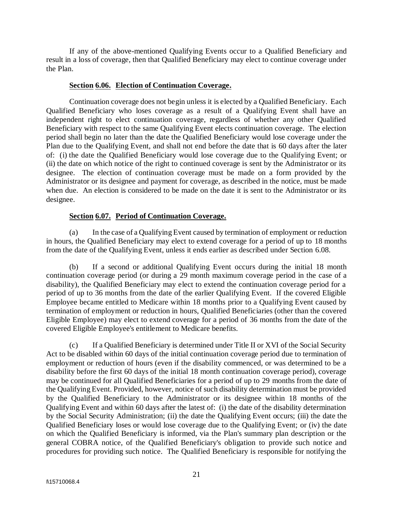If any of the above-mentioned Qualifying Events occur to a Qualified Beneficiary and result in a loss of coverage, then that Qualified Beneficiary may elect to continue coverage under the Plan.

#### **Section 6.06. Election of Continuation Coverage.**

Continuation coverage does not begin unless it is elected by a Qualified Beneficiary. Each Qualified Beneficiary who loses coverage as a result of a Qualifying Event shall have an independent right to elect continuation coverage, regardless of whether any other Qualified Beneficiary with respect to the same Qualifying Event elects continuation coverage. The election period shall begin no later than the date the Qualified Beneficiary would lose coverage under the Plan due to the Qualifying Event, and shall not end before the date that is 60 days after the later of: (i) the date the Qualified Beneficiary would lose coverage due to the Qualifying Event; or (ii) the date on which notice of the right to continued coverage is sent by the Administrator or its designee. The election of continuation coverage must be made on a form provided by the Administrator or its designee and payment for coverage, as described in the notice, must be made when due. An election is considered to be made on the date it is sent to the Administrator or its designee.

#### **Section 6.07. Period of Continuation Coverage.**

(a) In the case of a Qualifying Event caused by termination of employment or reduction in hours, the Qualified Beneficiary may elect to extend coverage for a period of up to 18 months from the date of the Qualifying Event, unless it ends earlier as described under Section 6.08.

(b) If a second or additional Qualifying Event occurs during the initial 18 month continuation coverage period (or during a 29 month maximum coverage period in the case of a disability), the Qualified Beneficiary may elect to extend the continuation coverage period for a period of up to 36 months from the date of the earlier Qualifying Event. If the covered Eligible Employee became entitled to Medicare within 18 months prior to a Qualifying Event caused by termination of employment or reduction in hours, Qualified Beneficiaries (other than the covered Eligible Employee) may elect to extend coverage for a period of 36 months from the date of the covered Eligible Employee's entitlement to Medicare benefits.

(c) If a Qualified Beneficiary is determined under Title II or XVI of the Social Security Act to be disabled within 60 days of the initial continuation coverage period due to termination of employment or reduction of hours (even if the disability commenced, or was determined to be a disability before the first 60 days of the initial 18 month continuation coverage period), coverage may be continued for all Qualified Beneficiaries for a period of up to 29 months from the date of the Qualifying Event. Provided, however, notice of such disability determination must be provided by the Qualified Beneficiary to the Administrator or its designee within 18 months of the Qualifying Event and within 60 days after the latest of: (i) the date of the disability determination by the Social Security Administration; (ii) the date the Qualifying Event occurs; (iii) the date the Qualified Beneficiary loses or would lose coverage due to the Qualifying Event; or (iv) the date on which the Qualified Beneficiary is informed, via the Plan's summary plan description or the general COBRA notice, of the Qualified Beneficiary's obligation to provide such notice and procedures for providing such notice. The Qualified Beneficiary is responsible for notifying the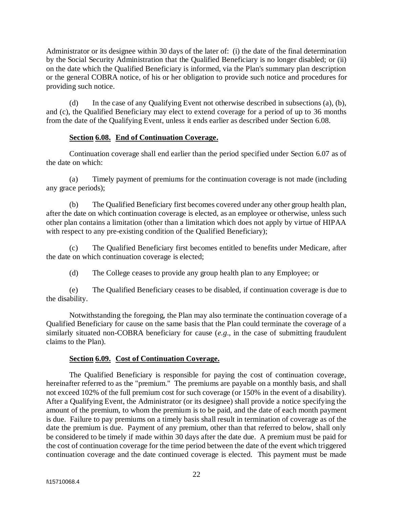Administrator or its designee within 30 days of the later of: (i) the date of the final determination by the Social Security Administration that the Qualified Beneficiary is no longer disabled; or (ii) on the date which the Qualified Beneficiary is informed, via the Plan's summary plan description or the general COBRA notice, of his or her obligation to provide such notice and procedures for providing such notice.

(d) In the case of any Qualifying Event not otherwise described in subsections (a), (b), and (c), the Qualified Beneficiary may elect to extend coverage for a period of up to 36 months from the date of the Qualifying Event, unless it ends earlier as described under Section 6.08.

## **Section 6.08. End of Continuation Coverage.**

Continuation coverage shall end earlier than the period specified under Section 6.07 as of the date on which:

(a) Timely payment of premiums for the continuation coverage is not made (including any grace periods);

(b) The Qualified Beneficiary first becomes covered under any other group health plan, after the date on which continuation coverage is elected, as an employee or otherwise, unless such other plan contains a limitation (other than a limitation which does not apply by virtue of HIPAA with respect to any pre-existing condition of the Qualified Beneficiary);

(c) The Qualified Beneficiary first becomes entitled to benefits under Medicare, after the date on which continuation coverage is elected;

(d) The College ceases to provide any group health plan to any Employee; or

(e) The Qualified Beneficiary ceases to be disabled, if continuation coverage is due to the disability.

Notwithstanding the foregoing, the Plan may also terminate the continuation coverage of a Qualified Beneficiary for cause on the same basis that the Plan could terminate the coverage of a similarly situated non-COBRA beneficiary for cause (*e.g*., in the case of submitting fraudulent claims to the Plan).

## **Section 6.09. Cost of Continuation Coverage.**

The Qualified Beneficiary is responsible for paying the cost of continuation coverage, hereinafter referred to as the "premium." The premiums are payable on a monthly basis, and shall not exceed 102% of the full premium cost for such coverage (or 150% in the event of a disability). After a Qualifying Event, the Administrator (or its designee) shall provide a notice specifying the amount of the premium, to whom the premium is to be paid, and the date of each month payment is due. Failure to pay premiums on a timely basis shall result in termination of coverage as of the date the premium is due. Payment of any premium, other than that referred to below, shall only be considered to be timely if made within 30 days after the date due. A premium must be paid for the cost of continuation coverage for the time period between the date of the event which triggered continuation coverage and the date continued coverage is elected. This payment must be made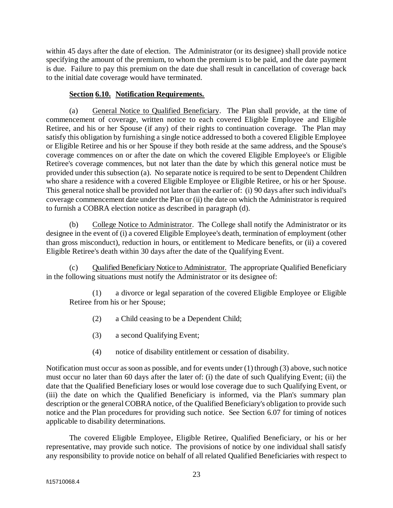within 45 days after the date of election. The Administrator (or its designee) shall provide notice specifying the amount of the premium, to whom the premium is to be paid, and the date payment is due. Failure to pay this premium on the date due shall result in cancellation of coverage back to the initial date coverage would have terminated.

## **Section 6.10. Notification Requirements.**

(a) General Notice to Qualified Beneficiary. The Plan shall provide, at the time of commencement of coverage, written notice to each covered Eligible Employee and Eligible Retiree, and his or her Spouse (if any) of their rights to continuation coverage. The Plan may satisfy this obligation by furnishing a single notice addressed to both a covered Eligible Employee or Eligible Retiree and his or her Spouse if they both reside at the same address, and the Spouse's coverage commences on or after the date on which the covered Eligible Employee's or Eligible Retiree's coverage commences, but not later than the date by which this general notice must be provided under this subsection (a). No separate notice is required to be sent to Dependent Children who share a residence with a covered Eligible Employee or Eligible Retiree, or his or her Spouse. This general notice shall be provided not later than the earlier of: (i) 90 days after such individual's coverage commencement date under the Plan or (ii) the date on which the Administrator is required to furnish a COBRA election notice as described in paragraph (d).

(b) College Notice to Administrator. The College shall notify the Administrator or its designee in the event of (i) a covered Eligible Employee's death, termination of employment (other than gross misconduct), reduction in hours, or entitlement to Medicare benefits, or (ii) a covered Eligible Retiree's death within 30 days after the date of the Qualifying Event.

Qualified Beneficiary Notice to Administrator. The appropriate Qualified Beneficiary in the following situations must notify the Administrator or its designee of:

(1) a divorce or legal separation of the covered Eligible Employee or Eligible Retiree from his or her Spouse;

- (2) a Child ceasing to be a Dependent Child;
- (3) a second Qualifying Event;
- (4) notice of disability entitlement or cessation of disability.

Notification must occur as soon as possible, and for events under (1) through (3) above, such notice must occur no later than 60 days after the later of: (i) the date of such Qualifying Event; (ii) the date that the Qualified Beneficiary loses or would lose coverage due to such Qualifying Event, or (iii) the date on which the Qualified Beneficiary is informed, via the Plan's summary plan description or the general COBRA notice, of the Qualified Beneficiary's obligation to provide such notice and the Plan procedures for providing such notice. See Section 6.07 for timing of notices applicable to disability determinations.

The covered Eligible Employee, Eligible Retiree, Qualified Beneficiary, or his or her representative, may provide such notice. The provisions of notice by one individual shall satisfy any responsibility to provide notice on behalf of all related Qualified Beneficiaries with respect to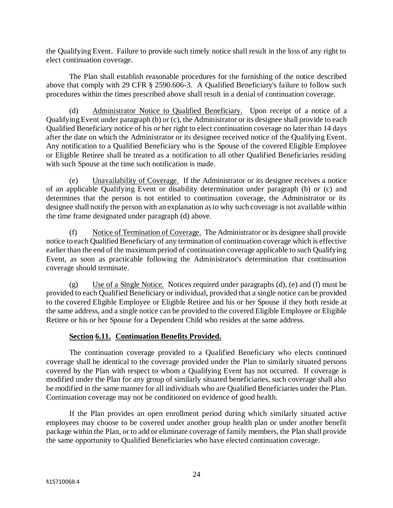the Qualifying Event. Failure to provide such timely notice shall result in the loss of any right to elect continuation coverage.

The Plan shall establish reasonable procedures for the furnishing of the notice described above that comply with 29 CFR § 2590.606-3. A Qualified Beneficiary's failure to follow such procedures within the times prescribed above shall result in a denial of continuation coverage.

(d) Administrator Notice to Qualified Beneficiary. Upon receipt of a notice of a Qualifying Event under paragraph (b) or (c), the Administrator or its designee shall provide to each Qualified Beneficiary notice of his or her right to elect continuation coverage no later than 14 days after the date on which the Administrator or its designee received notice of the Qualifying Event. Any notification to a Qualified Beneficiary who is the Spouse of the covered Eligible Employee or Eligible Retiree shall be treated as a notification to all other Qualified Beneficiaries residing with such Spouse at the time such notification is made.

(e) Unavailability of Coverage. If the Administrator or its designee receives a notice of an applicable Qualifying Event or disability determination under paragraph (b) or (c) and determines that the person is not entitled to continuation coverage, the Administrator or its designee shall notify the person with an explanation as to why such coverage is not available within the time frame designated under paragraph (d) above.

(f) Notice of Termination of Coverage. The Administrator or its designee shall provide notice to each Qualified Beneficiary of any termination of continuation coverage which is effective earlier than the end of the maximum period of continuation coverage applicable to such Qualifying Event, as soon as practicable following the Administrator's determination that continuation coverage should terminate.

(g) Use of a Single Notice. Notices required under paragraphs (d), (e) and (f) must be provided to each Qualified Beneficiary or individual, provided that a single notice can be provided to the covered Eligible Employee or Eligible Retiree and his or her Spouse if they both reside at the same address, and a single notice can be provided to the covered Eligible Employee or Eligible Retiree or his or her Spouse for a Dependent Child who resides at the same address.

## **Section 6.11. Continuation Benefits Provided.**

The continuation coverage provided to a Qualified Beneficiary who elects continued coverage shall be identical to the coverage provided under the Plan to similarly situated persons covered by the Plan with respect to whom a Qualifying Event has not occurred. If coverage is modified under the Plan for any group of similarly situated beneficiaries, such coverage shall also be modified in the same manner for all individuals who are Qualified Beneficiaries under the Plan. Continuation coverage may not be conditioned on evidence of good health.

If the Plan provides an open enrollment period during which similarly situated active employees may choose to be covered under another group health plan or under another benefit package within the Plan, or to add or eliminate coverage of family members, the Plan shall provide the same opportunity to Qualified Beneficiaries who have elected continuation coverage.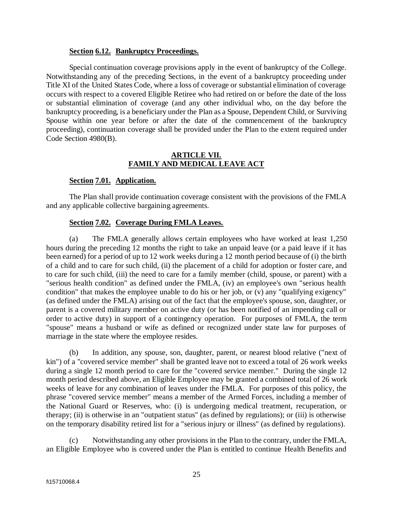#### **Section 6.12. Bankruptcy Proceedings.**

Special continuation coverage provisions apply in the event of bankruptcy of the College. Notwithstanding any of the preceding Sections, in the event of a bankruptcy proceeding under Title XI of the United States Code, where a loss of coverage or substantial elimination of coverage occurs with respect to a covered Eligible Retiree who had retired on or before the date of the loss or substantial elimination of coverage (and any other individual who, on the day before the bankruptcy proceeding, is a beneficiary under the Plan as a Spouse, Dependent Child, or Surviving Spouse within one year before or after the date of the commencement of the bankruptcy proceeding), continuation coverage shall be provided under the Plan to the extent required under Code Section 4980(B).

#### **ARTICLE VII. FAMILY AND MEDICAL LEAVE ACT**

#### **Section 7.01. Application.**

The Plan shall provide continuation coverage consistent with the provisions of the FMLA and any applicable collective bargaining agreements.

#### **Section 7.02. Coverage During FMLA Leaves.**

(a) The FMLA generally allows certain employees who have worked at least 1,250 hours during the preceding 12 months the right to take an unpaid leave (or a paid leave if it has been earned) for a period of up to 12 work weeks during a 12 month period because of (i) the birth of a child and to care for such child, (ii) the placement of a child for adoption or foster care, and to care for such child, (iii) the need to care for a family member (child, spouse, or parent) with a "serious health condition" as defined under the FMLA, (iv) an employee's own "serious health condition" that makes the employee unable to do his or her job, or (v) any "qualifying exigency" (as defined under the FMLA) arising out of the fact that the employee's spouse, son, daughter, or parent is a covered military member on active duty (or has been notified of an impending call or order to active duty) in support of a contingency operation. For purposes of FMLA, the term "spouse" means a husband or wife as defined or recognized under state law for purposes of marriage in the state where the employee resides.

(b) In addition, any spouse, son, daughter, parent, or nearest blood relative ("next of kin") of a "covered service member" shall be granted leave not to exceed a total of 26 work weeks during a single 12 month period to care for the "covered service member." During the single 12 month period described above, an Eligible Employee may be granted a combined total of 26 work weeks of leave for any combination of leaves under the FMLA. For purposes of this policy, the phrase "covered service member" means a member of the Armed Forces, including a member of the National Guard or Reserves, who: (i) is undergoing medical treatment, recuperation, or therapy; (ii) is otherwise in an "outpatient status" (as defined by regulations); or (iii) is otherwise on the temporary disability retired list for a "serious injury or illness" (as defined by regulations).

(c) Notwithstanding any other provisions in the Plan to the contrary, under the FMLA, an Eligible Employee who is covered under the Plan is entitled to continue Health Benefits and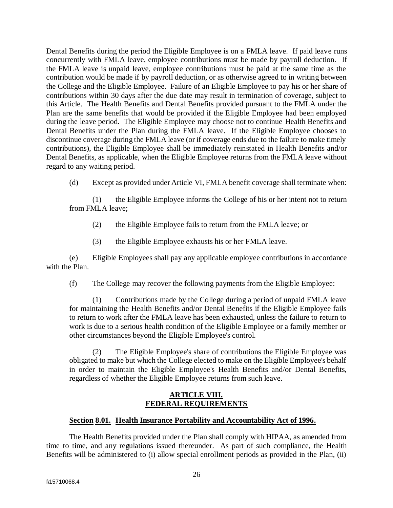Dental Benefits during the period the Eligible Employee is on a FMLA leave. If paid leave runs concurrently with FMLA leave, employee contributions must be made by payroll deduction. If the FMLA leave is unpaid leave, employee contributions must be paid at the same time as the contribution would be made if by payroll deduction, or as otherwise agreed to in writing between the College and the Eligible Employee. Failure of an Eligible Employee to pay his or her share of contributions within 30 days after the due date may result in termination of coverage, subject to this Article. The Health Benefits and Dental Benefits provided pursuant to the FMLA under the Plan are the same benefits that would be provided if the Eligible Employee had been employed during the leave period. The Eligible Employee may choose not to continue Health Benefits and Dental Benefits under the Plan during the FMLA leave. If the Eligible Employee chooses to discontinue coverage during the FMLA leave (or if coverage ends due to the failure to make timely contributions), the Eligible Employee shall be immediately reinstated in Health Benefits and/or Dental Benefits, as applicable, when the Eligible Employee returns from the FMLA leave without regard to any waiting period.

(d) Except as provided under Article VI, FMLA benefit coverage shall terminate when:

(1) the Eligible Employee informs the College of his or her intent not to return from FMLA leave;

- (2) the Eligible Employee fails to return from the FMLA leave; or
- (3) the Eligible Employee exhausts his or her FMLA leave.

(e) Eligible Employees shall pay any applicable employee contributions in accordance with the Plan.

(f) The College may recover the following payments from the Eligible Employee:

(1) Contributions made by the College during a period of unpaid FMLA leave for maintaining the Health Benefits and/or Dental Benefits if the Eligible Employee fails to return to work after the FMLA leave has been exhausted, unless the failure to return to work is due to a serious health condition of the Eligible Employee or a family member or other circumstances beyond the Eligible Employee's control.

(2) The Eligible Employee's share of contributions the Eligible Employee was obligated to make but which the College elected to make on the Eligible Employee's behalf in order to maintain the Eligible Employee's Health Benefits and/or Dental Benefits, regardless of whether the Eligible Employee returns from such leave.

## **ARTICLE VIII. FEDERAL REQUIREMENTS**

## **Section 8.01. Health Insurance Portability and Accountability Act of 1996.**

The Health Benefits provided under the Plan shall comply with HIPAA, as amended from time to time, and any regulations issued thereunder. As part of such compliance, the Health Benefits will be administered to (i) allow special enrollment periods as provided in the Plan, (ii)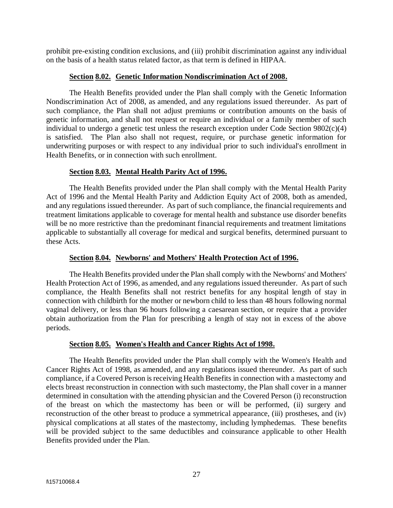prohibit pre-existing condition exclusions, and (iii) prohibit discrimination against any individual on the basis of a health status related factor, as that term is defined in HIPAA.

## **Section 8.02. Genetic Information Nondiscrimination Act of 2008.**

The Health Benefits provided under the Plan shall comply with the Genetic Information Nondiscrimination Act of 2008, as amended, and any regulations issued thereunder. As part of such compliance, the Plan shall not adjust premiums or contribution amounts on the basis of genetic information, and shall not request or require an individual or a family member of such individual to undergo a genetic test unless the research exception under Code Section  $9802(c)(4)$ is satisfied. The Plan also shall not request, require, or purchase genetic information for underwriting purposes or with respect to any individual prior to such individual's enrollment in Health Benefits, or in connection with such enrollment.

#### **Section 8.03. Mental Health Parity Act of 1996.**

The Health Benefits provided under the Plan shall comply with the Mental Health Parity Act of 1996 and the Mental Health Parity and Addiction Equity Act of 2008, both as amended, and any regulations issued thereunder. As part of such compliance, the financial requirements and treatment limitations applicable to coverage for mental health and substance use disorder benefits will be no more restrictive than the predominant financial requirements and treatment limitations applicable to substantially all coverage for medical and surgical benefits, determined pursuant to these Acts.

## **Section 8.04. Newborns' and Mothers' Health Protection Act of 1996.**

The Health Benefits provided under the Plan shall comply with the Newborns' and Mothers' Health Protection Act of 1996, as amended, and any regulations issued thereunder. As part of such compliance, the Health Benefits shall not restrict benefits for any hospital length of stay in connection with childbirth for the mother or newborn child to less than 48 hours following normal vaginal delivery, or less than 96 hours following a caesarean section, or require that a provider obtain authorization from the Plan for prescribing a length of stay not in excess of the above periods.

## **Section 8.05. Women's Health and Cancer Rights Act of 1998.**

The Health Benefits provided under the Plan shall comply with the Women's Health and Cancer Rights Act of 1998, as amended, and any regulations issued thereunder. As part of such compliance, if a Covered Person is receiving Health Benefits in connection with a mastectomy and elects breast reconstruction in connection with such mastectomy, the Plan shall cover in a manner determined in consultation with the attending physician and the Covered Person (i) reconstruction of the breast on which the mastectomy has been or will be performed, (ii) surgery and reconstruction of the other breast to produce a symmetrical appearance, (iii) prostheses, and (iv) physical complications at all states of the mastectomy, including lymphedemas. These benefits will be provided subject to the same deductibles and coinsurance applicable to other Health Benefits provided under the Plan.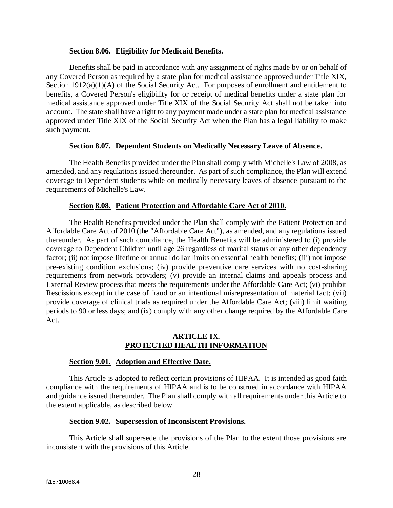#### **Section 8.06. Eligibility for Medicaid Benefits.**

Benefits shall be paid in accordance with any assignment of rights made by or on behalf of any Covered Person as required by a state plan for medical assistance approved under Title XIX, Section 1912(a)(1)(A) of the Social Security Act. For purposes of enrollment and entitlement to benefits, a Covered Person's eligibility for or receipt of medical benefits under a state plan for medical assistance approved under Title XIX of the Social Security Act shall not be taken into account. The state shall have a right to any payment made under a state plan for medical assistance approved under Title XIX of the Social Security Act when the Plan has a legal liability to make such payment.

#### **Section 8.07. Dependent Students on Medically Necessary Leave of Absence.**

The Health Benefits provided under the Plan shall comply with Michelle's Law of 2008, as amended, and any regulations issued thereunder. As part of such compliance, the Plan will extend coverage to Dependent students while on medically necessary leaves of absence pursuant to the requirements of Michelle's Law.

#### **Section 8.08. Patient Protection and Affordable Care Act of 2010.**

The Health Benefits provided under the Plan shall comply with the Patient Protection and Affordable Care Act of 2010 (the "Affordable Care Act"), as amended, and any regulations issued thereunder. As part of such compliance, the Health Benefits will be administered to (i) provide coverage to Dependent Children until age 26 regardless of marital status or any other dependency factor; (ii) not impose lifetime or annual dollar limits on essential health benefits; (iii) not impose pre-existing condition exclusions; (iv) provide preventive care services with no cost-sharing requirements from network providers; (v) provide an internal claims and appeals process and External Review process that meets the requirements under the Affordable Care Act; (vi) prohibit Rescissions except in the case of fraud or an intentional misrepresentation of material fact; (vii) provide coverage of clinical trials as required under the Affordable Care Act; (viii) limit waiting periods to 90 or less days; and (ix) comply with any other change required by the Affordable Care Act.

## **ARTICLE IX. PROTECTED HEALTH INFORMATION**

#### **Section 9.01. Adoption and Effective Date.**

This Article is adopted to reflect certain provisions of HIPAA. It is intended as good faith compliance with the requirements of HIPAA and is to be construed in accordance with HIPAA and guidance issued thereunder. The Plan shall comply with all requirements under this Article to the extent applicable, as described below.

#### **Section 9.02. Supersession of Inconsistent Provisions.**

This Article shall supersede the provisions of the Plan to the extent those provisions are inconsistent with the provisions of this Article.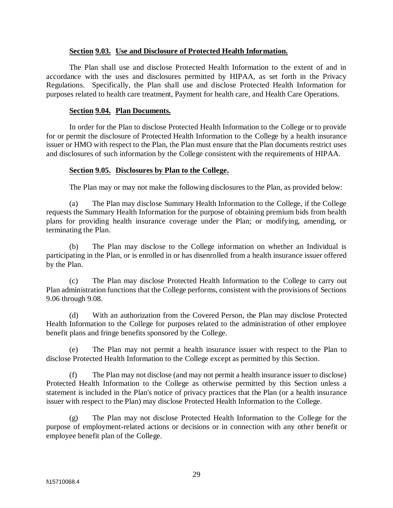#### **Section 9.03. Use and Disclosure of Protected Health Information.**

The Plan shall use and disclose Protected Health Information to the extent of and in accordance with the uses and disclosures permitted by HIPAA, as set forth in the Privacy Regulations. Specifically, the Plan shall use and disclose Protected Health Information for purposes related to health care treatment, Payment for health care, and Health Care Operations.

#### **Section 9.04. Plan Documents.**

In order for the Plan to disclose Protected Health Information to the College or to provide for or permit the disclosure of Protected Health Information to the College by a health insurance issuer or HMO with respect to the Plan, the Plan must ensure that the Plan documents restrict uses and disclosures of such information by the College consistent with the requirements of HIPAA.

#### **Section 9.05. Disclosures by Plan to the College.**

The Plan may or may not make the following disclosures to the Plan, as provided below:

(a) The Plan may disclose Summary Health Information to the College, if the College requests the Summary Health Information for the purpose of obtaining premium bids from health plans for providing health insurance coverage under the Plan; or modifying, amending, or terminating the Plan.

(b) The Plan may disclose to the College information on whether an Individual is participating in the Plan, or is enrolled in or has disenrolled from a health insurance issuer offered by the Plan.

(c) The Plan may disclose Protected Health Information to the College to carry out Plan administration functions that the College performs, consistent with the provisions of Sections 9.06 through 9.08.

(d) With an authorization from the Covered Person, the Plan may disclose Protected Health Information to the College for purposes related to the administration of other employee benefit plans and fringe benefits sponsored by the College.

(e) The Plan may not permit a health insurance issuer with respect to the Plan to disclose Protected Health Information to the College except as permitted by this Section.

(f) The Plan may not disclose (and may not permit a health insurance issuer to disclose) Protected Health Information to the College as otherwise permitted by this Section unless a statement is included in the Plan's notice of privacy practices that the Plan (or a health insurance issuer with respect to the Plan) may disclose Protected Health Information to the College.

(g) The Plan may not disclose Protected Health Information to the College for the purpose of employment-related actions or decisions or in connection with any other benefit or employee benefit plan of the College.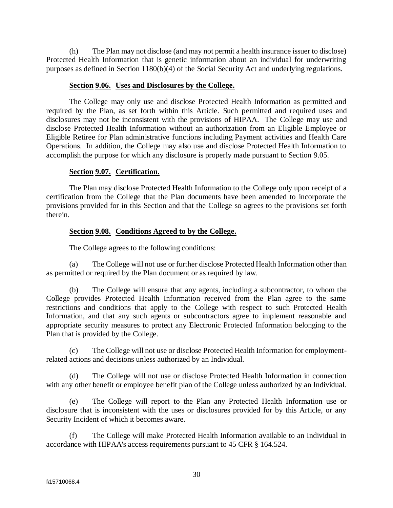(h) The Plan may not disclose (and may not permit a health insurance issuer to disclose) Protected Health Information that is genetic information about an individual for underwriting purposes as defined in Section 1180(b)(4) of the Social Security Act and underlying regulations.

#### **Section 9.06. Uses and Disclosures by the College.**

The College may only use and disclose Protected Health Information as permitted and required by the Plan, as set forth within this Article. Such permitted and required uses and disclosures may not be inconsistent with the provisions of HIPAA. The College may use and disclose Protected Health Information without an authorization from an Eligible Employee or Eligible Retiree for Plan administrative functions including Payment activities and Health Care Operations. In addition, the College may also use and disclose Protected Health Information to accomplish the purpose for which any disclosure is properly made pursuant to Section 9.05.

#### **Section 9.07. Certification.**

The Plan may disclose Protected Health Information to the College only upon receipt of a certification from the College that the Plan documents have been amended to incorporate the provisions provided for in this Section and that the College so agrees to the provisions set forth therein.

## **Section 9.08. Conditions Agreed to by the College.**

The College agrees to the following conditions:

(a) The College will not use or further disclose Protected Health Information other than as permitted or required by the Plan document or as required by law.

(b) The College will ensure that any agents, including a subcontractor, to whom the College provides Protected Health Information received from the Plan agree to the same restrictions and conditions that apply to the College with respect to such Protected Health Information, and that any such agents or subcontractors agree to implement reasonable and appropriate security measures to protect any Electronic Protected Information belonging to the Plan that is provided by the College.

(c) The College will not use or disclose Protected Health Information for employmentrelated actions and decisions unless authorized by an Individual.

(d) The College will not use or disclose Protected Health Information in connection with any other benefit or employee benefit plan of the College unless authorized by an Individual.

(e) The College will report to the Plan any Protected Health Information use or disclosure that is inconsistent with the uses or disclosures provided for by this Article, or any Security Incident of which it becomes aware.

(f) The College will make Protected Health Information available to an Individual in accordance with HIPAA's access requirements pursuant to 45 CFR § 164.524.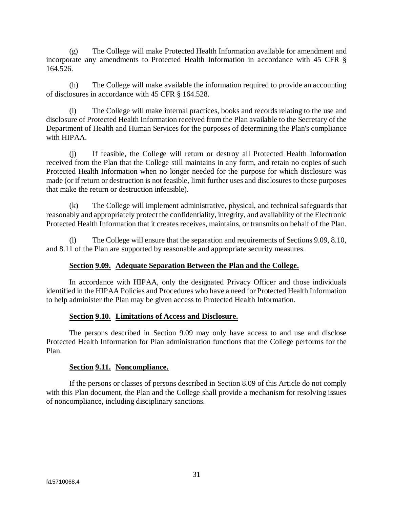(g) The College will make Protected Health Information available for amendment and incorporate any amendments to Protected Health Information in accordance with 45 CFR § 164.526.

(h) The College will make available the information required to provide an accounting of disclosures in accordance with 45 CFR § 164.528.

(i) The College will make internal practices, books and records relating to the use and disclosure of Protected Health Information received from the Plan available to the Secretary of the Department of Health and Human Services for the purposes of determining the Plan's compliance with HIPAA.

(j) If feasible, the College will return or destroy all Protected Health Information received from the Plan that the College still maintains in any form, and retain no copies of such Protected Health Information when no longer needed for the purpose for which disclosure was made (or if return or destruction is not feasible, limit further uses and disclosures to those purposes that make the return or destruction infeasible).

(k) The College will implement administrative, physical, and technical safeguards that reasonably and appropriately protect the confidentiality, integrity, and availability of the Electronic Protected Health Information that it creates receives, maintains, or transmits on behalf of the Plan.

(l) The College will ensure that the separation and requirements of Sections 9.09, 8.10, and 8.11 of the Plan are supported by reasonable and appropriate security measures.

## **Section 9.09. Adequate Separation Between the Plan and the College.**

In accordance with HIPAA, only the designated Privacy Officer and those individuals identified in the HIPAA Policies and Procedures who have a need for Protected Health Information to help administer the Plan may be given access to Protected Health Information.

## **Section 9.10. Limitations of Access and Disclosure.**

The persons described in Section 9.09 may only have access to and use and disclose Protected Health Information for Plan administration functions that the College performs for the Plan.

## **Section 9.11. Noncompliance.**

If the persons or classes of persons described in Section 8.09 of this Article do not comply with this Plan document, the Plan and the College shall provide a mechanism for resolving issues of noncompliance, including disciplinary sanctions.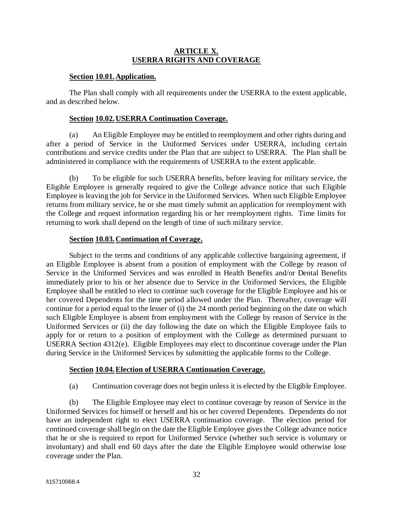## **ARTICLE X. USERRA RIGHTS AND COVERAGE**

#### **Section 10.01.Application.**

The Plan shall comply with all requirements under the USERRA to the extent applicable, and as described below.

#### **Section 10.02.USERRA Continuation Coverage.**

(a) An Eligible Employee may be entitled to reemployment and other rights during and after a period of Service in the Uniformed Services under USERRA, including certain contributions and service credits under the Plan that are subject to USERRA. The Plan shall be administered in compliance with the requirements of USERRA to the extent applicable.

(b) To be eligible for such USERRA benefits, before leaving for military service, the Eligible Employee is generally required to give the College advance notice that such Eligible Employee is leaving the job for Service in the Uniformed Services. When such Eligible Employee returns from military service, he or she must timely submit an application for reemployment with the College and request information regarding his or her reemployment rights. Time limits for returning to work shall depend on the length of time of such military service.

#### **Section 10.03.Continuation of Coverage.**

Subject to the terms and conditions of any applicable collective bargaining agreement, if an Eligible Employee is absent from a position of employment with the College by reason of Service in the Uniformed Services and was enrolled in Health Benefits and/or Dental Benefits immediately prior to his or her absence due to Service in the Uniformed Services, the Eligible Employee shall be entitled to elect to continue such coverage for the Eligible Employee and his or her covered Dependents for the time period allowed under the Plan. Thereafter, coverage will continue for a period equal to the lesser of (i) the 24 month period beginning on the date on which such Eligible Employee is absent from employment with the College by reason of Service in the Uniformed Services or (ii) the day following the date on which the Eligible Employee fails to apply for or return to a position of employment with the College as determined pursuant to USERRA Section 4312(e). Eligible Employees may elect to discontinue coverage under the Plan during Service in the Uniformed Services by submitting the applicable forms to the College.

## **Section 10.04.Election of USERRA Continuation Coverage.**

(a) Continuation coverage does not begin unless it is elected by the Eligible Employee.

(b) The Eligible Employee may elect to continue coverage by reason of Service in the Uniformed Services for himself or herself and his or her covered Dependents. Dependents do not have an independent right to elect USERRA continuation coverage. The election period for continued coverage shall begin on the date the Eligible Employee gives the College advance notice that he or she is required to report for Uniformed Service (whether such service is voluntary or involuntary) and shall end 60 days after the date the Eligible Employee would otherwise lose coverage under the Plan.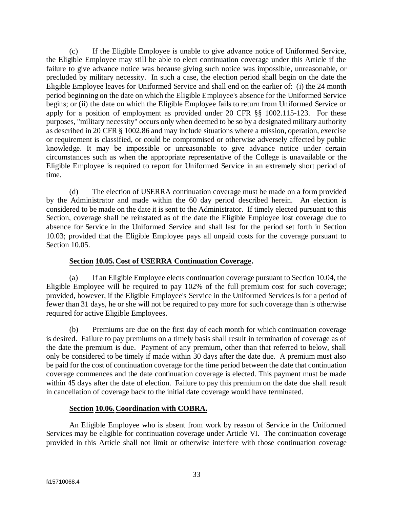(c) If the Eligible Employee is unable to give advance notice of Uniformed Service, the Eligible Employee may still be able to elect continuation coverage under this Article if the failure to give advance notice was because giving such notice was impossible, unreasonable, or precluded by military necessity. In such a case, the election period shall begin on the date the Eligible Employee leaves for Uniformed Service and shall end on the earlier of: (i) the 24 month period beginning on the date on which the Eligible Employee's absence for the Uniformed Service begins; or (ii) the date on which the Eligible Employee fails to return from Uniformed Service or apply for a position of employment as provided under 20 CFR §§ 1002.115-123. For these purposes, "military necessity" occurs only when deemed to be so by a designated military authority as described in 20 CFR § 1002.86 and may include situations where a mission, operation, exercise or requirement is classified, or could be compromised or otherwise adversely affected by public knowledge. It may be impossible or unreasonable to give advance notice under certain circumstances such as when the appropriate representative of the College is unavailable or the Eligible Employee is required to report for Uniformed Service in an extremely short period of time.

(d) The election of USERRA continuation coverage must be made on a form provided by the Administrator and made within the 60 day period described herein. An election is considered to be made on the date it is sent to the Administrator. If timely elected pursuant to this Section, coverage shall be reinstated as of the date the Eligible Employee lost coverage due to absence for Service in the Uniformed Service and shall last for the period set forth in Section 10.03; provided that the Eligible Employee pays all unpaid costs for the coverage pursuant to Section 10.05.

## **Section 10.05.Cost of USERRA Continuation Coverage.**

(a) If an Eligible Employee elects continuation coverage pursuant to Section 10.04, the Eligible Employee will be required to pay 102% of the full premium cost for such coverage; provided, however, if the Eligible Employee's Service in the Uniformed Services is for a period of fewer than 31 days, he or she will not be required to pay more for such coverage than is otherwise required for active Eligible Employees.

(b) Premiums are due on the first day of each month for which continuation coverage is desired. Failure to pay premiums on a timely basis shall result in termination of coverage as of the date the premium is due. Payment of any premium, other than that referred to below, shall only be considered to be timely if made within 30 days after the date due. A premium must also be paid for the cost of continuation coverage for the time period between the date that continuation coverage commences and the date continuation coverage is elected. This payment must be made within 45 days after the date of election. Failure to pay this premium on the date due shall result in cancellation of coverage back to the initial date coverage would have terminated.

## **Section 10.06.Coordination with COBRA.**

An Eligible Employee who is absent from work by reason of Service in the Uniformed Services may be eligible for continuation coverage under Article VI. The continuation coverage provided in this Article shall not limit or otherwise interfere with those continuation coverage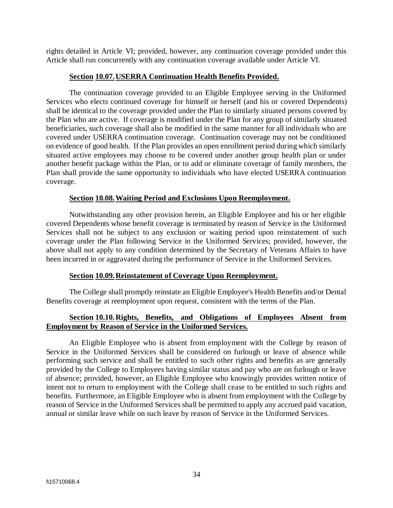rights detailed in Article VI; provided, however, any continuation coverage provided under this Article shall run concurrently with any continuation coverage available under Article VI.

#### **Section 10.07.USERRA Continuation Health Benefits Provided.**

The continuation coverage provided to an Eligible Employee serving in the Uniformed Services who elects continued coverage for himself or herself (and his or covered Dependents) shall be identical to the coverage provided under the Plan to similarly situated persons covered by the Plan who are active. If coverage is modified under the Plan for any group of similarly situated beneficiaries, such coverage shall also be modified in the same manner for all individuals who are covered under USERRA continuation coverage. Continuation coverage may not be conditioned on evidence of good health. If the Plan provides an open enrollment period during which similarly situated active employees may choose to be covered under another group health plan or under another benefit package within the Plan, or to add or eliminate coverage of family members, the Plan shall provide the same opportunity to individuals who have elected USERRA continuation coverage.

#### **Section 10.08.Waiting Period and Exclusions Upon Reemployment.**

Notwithstanding any other provision herein, an Eligible Employee and his or her eligible covered Dependents whose benefit coverage is terminated by reason of Service in the Uniformed Services shall not be subject to any exclusion or waiting period upon reinstatement of such coverage under the Plan following Service in the Uniformed Services; provided, however, the above shall not apply to any condition determined by the Secretary of Veterans Affairs to have been incurred in or aggravated during the performance of Service in the Uniformed Services.

#### **Section 10.09.Reinstatement of Coverage Upon Reemployment.**

The College shall promptly reinstate an Eligible Employee's Health Benefits and/or Dental Benefits coverage at reemployment upon request, consistent with the terms of the Plan.

## **Section 10.10.Rights, Benefits, and Obligations of Employees Absent from Employment by Reason of Service in the Uniformed Services.**

An Eligible Employee who is absent from employment with the College by reason of Service in the Uniformed Services shall be considered on furlough or leave of absence while performing such service and shall be entitled to such other rights and benefits as are generally provided by the College to Employees having similar status and pay who are on furlough or leave of absence; provided, however, an Eligible Employee who knowingly provides written notice of intent not to return to employment with the College shall cease to be entitled to such rights and benefits. Furthermore, an Eligible Employee who is absent from employment with the College by reason of Service in the Uniformed Services shall be permitted to apply any accrued paid vacation, annual or similar leave while on such leave by reason of Service in the Uniformed Services.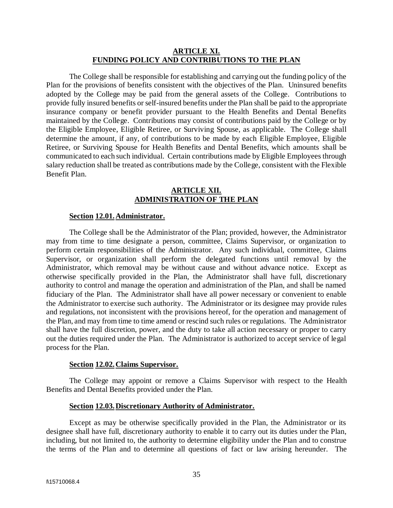#### **ARTICLE XI. FUNDING POLICY AND CONTRIBUTIONS TO THE PLAN**

The College shall be responsible for establishing and carrying out the funding policy of the Plan for the provisions of benefits consistent with the objectives of the Plan. Uninsured benefits adopted by the College may be paid from the general assets of the College. Contributions to provide fully insured benefits or self-insured benefits under the Plan shall be paid to the appropriate insurance company or benefit provider pursuant to the Health Benefits and Dental Benefits maintained by the College. Contributions may consist of contributions paid by the College or by the Eligible Employee, Eligible Retiree, or Surviving Spouse, as applicable. The College shall determine the amount, if any, of contributions to be made by each Eligible Employee, Eligible Retiree, or Surviving Spouse for Health Benefits and Dental Benefits, which amounts shall be communicated to each such individual. Certain contributions made by Eligible Employees through salary reduction shall be treated as contributions made by the College, consistent with the Flexible Benefit Plan.

#### **ARTICLE XII. ADMINISTRATION OF THE PLAN**

#### **Section 12.01.Administrator.**

The College shall be the Administrator of the Plan; provided, however, the Administrator may from time to time designate a person, committee, Claims Supervisor, or organization to perform certain responsibilities of the Administrator. Any such individual, committee, Claims Supervisor, or organization shall perform the delegated functions until removal by the Administrator, which removal may be without cause and without advance notice. Except as otherwise specifically provided in the Plan, the Administrator shall have full, discretionary authority to control and manage the operation and administration of the Plan, and shall be named fiduciary of the Plan. The Administrator shall have all power necessary or convenient to enable the Administrator to exercise such authority. The Administrator or its designee may provide rules and regulations, not inconsistent with the provisions hereof, for the operation and management of the Plan, and may from time to time amend or rescind such rules or regulations. The Administrator shall have the full discretion, power, and the duty to take all action necessary or proper to carry out the duties required under the Plan. The Administrator is authorized to accept service of legal process for the Plan.

#### **Section 12.02.Claims Supervisor.**

The College may appoint or remove a Claims Supervisor with respect to the Health Benefits and Dental Benefits provided under the Plan.

#### **Section 12.03.Discretionary Authority of Administrator.**

Except as may be otherwise specifically provided in the Plan, the Administrator or its designee shall have full, discretionary authority to enable it to carry out its duties under the Plan, including, but not limited to, the authority to determine eligibility under the Plan and to construe the terms of the Plan and to determine all questions of fact or law arising hereunder. The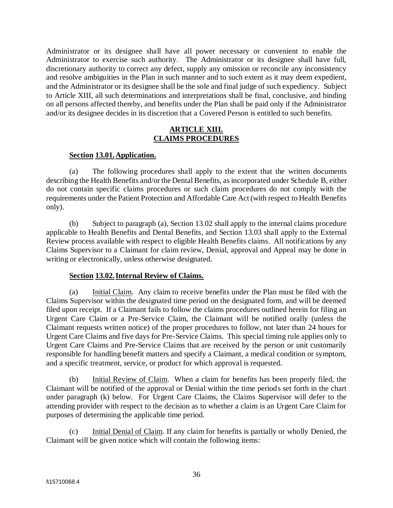Administrator or its designee shall have all power necessary or convenient to enable the Administrator to exercise such authority. The Administrator or its designee shall have full, discretionary authority to correct any defect, supply any omission or reconcile any inconsistency and resolve ambiguities in the Plan in such manner and to such extent as it may deem expedient, and the Administrator or its designee shall be the sole and final judge of such expediency. Subject to Article XIII, all such determinations and interpretations shall be final, conclusive, and binding on all persons affected thereby, and benefits under the Plan shall be paid only if the Administrator and/or its designee decides in its discretion that a Covered Person is entitled to such benefits.

#### **ARTICLE XIII. CLAIMS PROCEDURES**

#### **Section 13.01.Application.**

(a) The following procedures shall apply to the extent that the written documents describing the Health Benefits and/or the Dental Benefits, as incorporated under Schedule B, either do not contain specific claims procedures or such claim procedures do not comply with the requirements under the Patient Protection and Affordable Care Act (with respect to Health Benefits only).

(b) Subject to paragraph (a), Section 13.02 shall apply to the internal claims procedure applicable to Health Benefits and Dental Benefits, and Section 13.03 shall apply to the External Review process available with respect to eligible Health Benefits claims. All notifications by any Claims Supervisor to a Claimant for claim review, Denial, approval and Appeal may be done in writing or electronically, unless otherwise designated.

#### **Section 13.02.Internal Review of Claims.**

(a) Initial Claim. Any claim to receive benefits under the Plan must be filed with the Claims Supervisor within the designated time period on the designated form, and will be deemed filed upon receipt. If a Claimant fails to follow the claims procedures outlined herein for filing an Urgent Care Claim or a Pre-Service Claim, the Claimant will be notified orally (unless the Claimant requests written notice) of the proper procedures to follow, not later than 24 hours for Urgent Care Claims and five days for Pre-Service Claims. This special timing rule applies only to Urgent Care Claims and Pre-Service Claims that are received by the person or unit customarily responsible for handling benefit matters and specify a Claimant, a medical condition or symptom, and a specific treatment, service, or product for which approval is requested.

(b) Initial Review of Claim. When a claim for benefits has been properly filed, the Claimant will be notified of the approval or Denial within the time periods set forth in the chart under paragraph (k) below. For Urgent Care Claims, the Claims Supervisor will defer to the attending provider with respect to the decision as to whether a claim is an Urgent Care Claim for purposes of determining the applicable time period.

(c) Initial Denial of Claim. If any claim for benefits is partially or wholly Denied, the Claimant will be given notice which will contain the following items: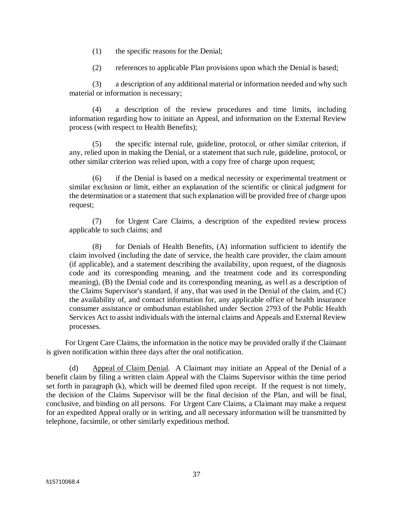- (1) the specific reasons for the Denial;
- (2) references to applicable Plan provisions upon which the Denial is based;

(3) a description of any additional material or information needed and why such material or information is necessary;

(4) a description of the review procedures and time limits, including information regarding how to initiate an Appeal, and information on the External Review process (with respect to Health Benefits);

(5) the specific internal rule, guideline, protocol, or other similar criterion, if any, relied upon in making the Denial, or a statement that such rule, guideline, protocol, or other similar criterion was relied upon, with a copy free of charge upon request;

(6) if the Denial is based on a medical necessity or experimental treatment or similar exclusion or limit, either an explanation of the scientific or clinical judgment for the determination or a statement that such explanation will be provided free of charge upon request;

(7) for Urgent Care Claims, a description of the expedited review process applicable to such claims; and

(8) for Denials of Health Benefits, (A) information sufficient to identify the claim involved (including the date of service, the health care provider, the claim amount (if applicable), and a statement describing the availability, upon request, of the diagnosis code and its corresponding meaning, and the treatment code and its corresponding meaning), (B) the Denial code and its corresponding meaning, as well as a description of the Claims Supervisor's standard, if any, that was used in the Denial of the claim, and (C) the availability of, and contact information for, any applicable office of health insurance consumer assistance or ombudsman established under Section 2793 of the Public Health Services Act to assist individuals with the internal claims and Appeals and External Review processes.

For Urgent Care Claims, the information in the notice may be provided orally if the Claimant is given notification within three days after the oral notification.

(d) Appeal of Claim Denial. A Claimant may initiate an Appeal of the Denial of a benefit claim by filing a written claim Appeal with the Claims Supervisor within the time period set forth in paragraph (k), which will be deemed filed upon receipt. If the request is not timely, the decision of the Claims Supervisor will be the final decision of the Plan, and will be final, conclusive, and binding on all persons. For Urgent Care Claims, a Claimant may make a request for an expedited Appeal orally or in writing, and all necessary information will be transmitted by telephone, facsimile, or other similarly expeditious method.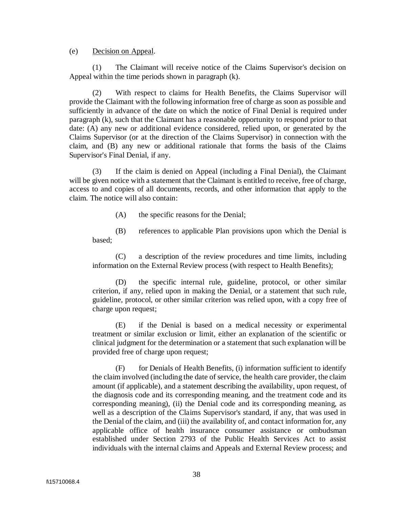#### (e) Decision on Appeal.

(1) The Claimant will receive notice of the Claims Supervisor's decision on Appeal within the time periods shown in paragraph (k).

(2) With respect to claims for Health Benefits, the Claims Supervisor will provide the Claimant with the following information free of charge as soon as possible and sufficiently in advance of the date on which the notice of Final Denial is required under paragraph (k), such that the Claimant has a reasonable opportunity to respond prior to that date: (A) any new or additional evidence considered, relied upon, or generated by the Claims Supervisor (or at the direction of the Claims Supervisor) in connection with the claim, and (B) any new or additional rationale that forms the basis of the Claims Supervisor's Final Denial, if any.

(3) If the claim is denied on Appeal (including a Final Denial), the Claimant will be given notice with a statement that the Claimant is entitled to receive, free of charge, access to and copies of all documents, records, and other information that apply to the claim. The notice will also contain:

(A) the specific reasons for the Denial;

(B) references to applicable Plan provisions upon which the Denial is based;

(C) a description of the review procedures and time limits, including information on the External Review process (with respect to Health Benefits);

(D) the specific internal rule, guideline, protocol, or other similar criterion, if any, relied upon in making the Denial, or a statement that such rule, guideline, protocol, or other similar criterion was relied upon, with a copy free of charge upon request;

(E) if the Denial is based on a medical necessity or experimental treatment or similar exclusion or limit, either an explanation of the scientific or clinical judgment for the determination or a statement that such explanation will be provided free of charge upon request;

(F) for Denials of Health Benefits, (i) information sufficient to identify the claim involved (including the date of service, the health care provider, the claim amount (if applicable), and a statement describing the availability, upon request, of the diagnosis code and its corresponding meaning, and the treatment code and its corresponding meaning), (ii) the Denial code and its corresponding meaning, as well as a description of the Claims Supervisor's standard, if any, that was used in the Denial of the claim, and (iii) the availability of, and contact information for, any applicable office of health insurance consumer assistance or ombudsman established under Section 2793 of the Public Health Services Act to assist individuals with the internal claims and Appeals and External Review process; and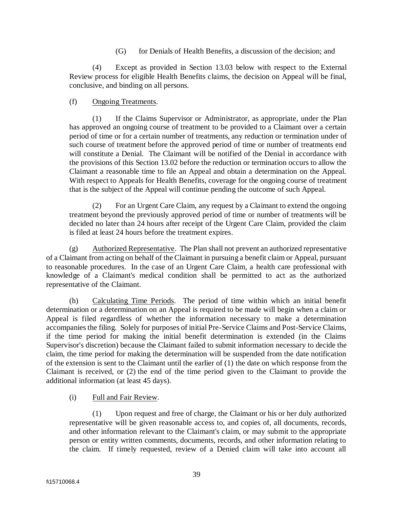(G) for Denials of Health Benefits, a discussion of the decision; and

(4) Except as provided in Section 13.03 below with respect to the External Review process for eligible Health Benefits claims, the decision on Appeal will be final, conclusive, and binding on all persons.

#### (f) Ongoing Treatments.

(1) If the Claims Supervisor or Administrator, as appropriate, under the Plan has approved an ongoing course of treatment to be provided to a Claimant over a certain period of time or for a certain number of treatments, any reduction or termination under of such course of treatment before the approved period of time or number of treatments end will constitute a Denial. The Claimant will be notified of the Denial in accordance with the provisions of this Section 13.02 before the reduction or termination occurs to allow the Claimant a reasonable time to file an Appeal and obtain a determination on the Appeal. With respect to Appeals for Health Benefits, coverage for the ongoing course of treatment that is the subject of the Appeal will continue pending the outcome of such Appeal.

(2) For an Urgent Care Claim, any request by a Claimant to extend the ongoing treatment beyond the previously approved period of time or number of treatments will be decided no later than 24 hours after receipt of the Urgent Care Claim, provided the claim is filed at least 24 hours before the treatment expires.

(g) Authorized Representative. The Plan shall not prevent an authorized representative of a Claimant from acting on behalf of the Claimant in pursuing a benefit claim or Appeal, pursuant to reasonable procedures. In the case of an Urgent Care Claim, a health care professional with knowledge of a Claimant's medical condition shall be permitted to act as the authorized representative of the Claimant.

(h) Calculating Time Periods. The period of time within which an initial benefit determination or a determination on an Appeal is required to be made will begin when a claim or Appeal is filed regardless of whether the information necessary to make a determination accompanies the filing. Solely for purposes of initial Pre-Service Claims and Post-Service Claims, if the time period for making the initial benefit determination is extended (in the Claims Supervisor's discretion) because the Claimant failed to submit information necessary to decide the claim, the time period for making the determination will be suspended from the date notification of the extension is sent to the Claimant until the earlier of (1) the date on which response from the Claimant is received, or (2) the end of the time period given to the Claimant to provide the additional information (at least 45 days).

## (i) Full and Fair Review.

(1) Upon request and free of charge, the Claimant or his or her duly authorized representative will be given reasonable access to, and copies of, all documents, records, and other information relevant to the Claimant's claim, or may submit to the appropriate person or entity written comments, documents, records, and other information relating to the claim. If timely requested, review of a Denied claim will take into account all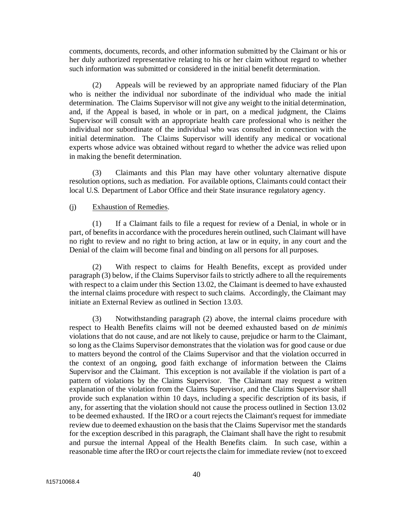comments, documents, records, and other information submitted by the Claimant or his or her duly authorized representative relating to his or her claim without regard to whether such information was submitted or considered in the initial benefit determination.

(2) Appeals will be reviewed by an appropriate named fiduciary of the Plan who is neither the individual nor subordinate of the individual who made the initial determination. The Claims Supervisor will not give any weight to the initial determination, and, if the Appeal is based, in whole or in part, on a medical judgment, the Claims Supervisor will consult with an appropriate health care professional who is neither the individual nor subordinate of the individual who was consulted in connection with the initial determination. The Claims Supervisor will identify any medical or vocational experts whose advice was obtained without regard to whether the advice was relied upon in making the benefit determination.

(3) Claimants and this Plan may have other voluntary alternative dispute resolution options, such as mediation. For available options, Claimants could contact their local U.S. Department of Labor Office and their State insurance regulatory agency.

#### (j) Exhaustion of Remedies.

(1) If a Claimant fails to file a request for review of a Denial, in whole or in part, of benefits in accordance with the procedures herein outlined, such Claimant will have no right to review and no right to bring action, at law or in equity, in any court and the Denial of the claim will become final and binding on all persons for all purposes.

(2) With respect to claims for Health Benefits, except as provided under paragraph (3) below, if the Claims Supervisor fails to strictly adhere to all the requirements with respect to a claim under this Section 13.02, the Claimant is deemed to have exhausted the internal claims procedure with respect to such claims. Accordingly, the Claimant may initiate an External Review as outlined in Section 13.03.

(3) Notwithstanding paragraph (2) above, the internal claims procedure with respect to Health Benefits claims will not be deemed exhausted based on *de minimis* violations that do not cause, and are not likely to cause, prejudice or harm to the Claimant, so long as the Claims Supervisor demonstrates that the violation was for good cause or due to matters beyond the control of the Claims Supervisor and that the violation occurred in the context of an ongoing, good faith exchange of information between the Claims Supervisor and the Claimant. This exception is not available if the violation is part of a pattern of violations by the Claims Supervisor. The Claimant may request a written explanation of the violation from the Claims Supervisor, and the Claims Supervisor shall provide such explanation within 10 days, including a specific description of its basis, if any, for asserting that the violation should not cause the process outlined in Section 13.02 to be deemed exhausted. If the IRO or a court rejects the Claimant's request for immediate review due to deemed exhaustion on the basis that the Claims Supervisor met the standards for the exception described in this paragraph, the Claimant shall have the right to resubmit and pursue the internal Appeal of the Health Benefits claim. In such case, within a reasonable time after the IRO or court rejects the claim for immediate review (not to exceed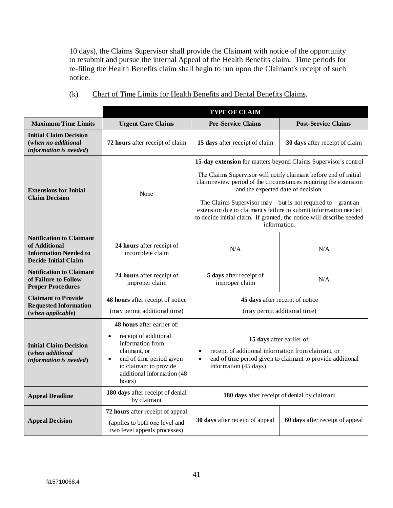10 days), the Claims Supervisor shall provide the Claimant with notice of the opportunity to resubmit and pursue the internal Appeal of the Health Benefits claim. Time periods for re-filing the Health Benefits claim shall begin to run upon the Claimant's receipt of such notice.

|                                                                                                                 |                                                                                                                                                                                                                        | <b>TYPE OF CLAIM</b>                                                                                                                                                                                                                                                                                                                                                                                      |                                                               |  |
|-----------------------------------------------------------------------------------------------------------------|------------------------------------------------------------------------------------------------------------------------------------------------------------------------------------------------------------------------|-----------------------------------------------------------------------------------------------------------------------------------------------------------------------------------------------------------------------------------------------------------------------------------------------------------------------------------------------------------------------------------------------------------|---------------------------------------------------------------|--|
| <b>Maximum Time Limits</b>                                                                                      | <b>Urgent Care Claims</b>                                                                                                                                                                                              | <b>Pre-Service Claims</b>                                                                                                                                                                                                                                                                                                                                                                                 | <b>Post-Service Claims</b>                                    |  |
| <b>Initial Claim Decision</b><br>(when no additional<br>information is needed)                                  | 72 hours after receipt of claim                                                                                                                                                                                        | 15 days after receipt of claim                                                                                                                                                                                                                                                                                                                                                                            | 30 days after receipt of claim                                |  |
| <b>Extensions for Initial</b><br><b>Claim Decision</b>                                                          | None                                                                                                                                                                                                                   | 15-day extension for matters beyond Claims Supervisor's control<br>The Claims Supervisor will notify claimant before end of initial<br>claim review period of the circumstances requiring the extension<br>and the expected date of decision.<br>extension due to claimant's failure to submit information needed<br>to decide initial claim. If granted, the notice will describe needed<br>information. | The Claims Supervisor may – but is not required to – grant an |  |
| <b>Notification to Claimant</b><br>of Additional<br><b>Information Needed to</b><br><b>Decide Initial Claim</b> | 24 hours after receipt of<br>N/A<br>incomplete claim                                                                                                                                                                   |                                                                                                                                                                                                                                                                                                                                                                                                           | N/A                                                           |  |
| <b>Notification to Claimant</b><br>of Failure to Follow<br><b>Proper Procedures</b>                             | 24 hours after receipt of<br>improper claim                                                                                                                                                                            | 5 days after receipt of<br>improper claim                                                                                                                                                                                                                                                                                                                                                                 | N/A                                                           |  |
| <b>Claimant to Provide</b><br><b>Requested Information</b><br>(when applicable)                                 | 48 hours after receipt of notice<br>(may permit additional time)                                                                                                                                                       | 45 days after receipt of notice<br>(may permit additional time)                                                                                                                                                                                                                                                                                                                                           |                                                               |  |
| <b>Initial Claim Decision</b><br>(when additional<br>information is needed)                                     | <b>48 hours</b> after earlier of:<br>receipt of additional<br>$\bullet$<br>information from<br>claimant, or<br>end of time period given<br>$\bullet$<br>to claimant to provide<br>additional information (48<br>hours) | 15 days after earlier of:<br>receipt of additional information from claimant, or<br>$\bullet$<br>information (45 days)                                                                                                                                                                                                                                                                                    | end of time period given to claimant to provide additional    |  |
| <b>Appeal Deadline</b>                                                                                          | 180 days after receipt of denial<br>by claimant                                                                                                                                                                        | 180 days after receipt of denial by claimant                                                                                                                                                                                                                                                                                                                                                              |                                                               |  |
| <b>Appeal Decision</b>                                                                                          | 72 hours after receipt of appeal<br>(applies to both one level and<br>two level appeals processes)                                                                                                                     | 30 days after receipt of appeal                                                                                                                                                                                                                                                                                                                                                                           | 60 days after receipt of appeal                               |  |

(k) Chart of Time Limits for Health Benefits and Dental Benefits Claims.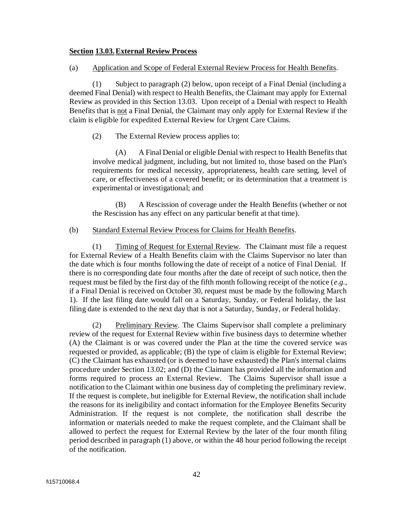#### **Section 13.03.External Review Process**

#### (a) Application and Scope of Federal External Review Process for Health Benefits.

(1) Subject to paragraph (2) below, upon receipt of a Final Denial (including a deemed Final Denial) with respect to Health Benefits, the Claimant may apply for External Review as provided in this Section 13.03. Upon receipt of a Denial with respect to Health Benefits that is not a Final Denial, the Claimant may only apply for External Review if the claim is eligible for expedited External Review for Urgent Care Claims.

#### (2) The External Review process applies to:

(A) A Final Denial or eligible Denial with respect to Health Benefits that involve medical judgment, including, but not limited to, those based on the Plan's requirements for medical necessity, appropriateness, health care setting, level of care, or effectiveness of a covered benefit; or its determination that a treatment is experimental or investigational; and

(B) A Rescission of coverage under the Health Benefits (whether or not the Rescission has any effect on any particular benefit at that time).

#### (b) Standard External Review Process for Claims for Health Benefits.

(1) Timing of Request for External Review. The Claimant must file a request for External Review of a Health Benefits claim with the Claims Supervisor no later than the date which is four months following the date of receipt of a notice of Final Denial. If there is no corresponding date four months after the date of receipt of such notice, then the request must be filed by the first day of the fifth month following receipt of the notice (*e.g.*, if a Final Denial is received on October 30, request must be made by the following March 1). If the last filing date would fall on a Saturday, Sunday, or Federal holiday, the last filing date is extended to the next day that is not a Saturday, Sunday, or Federal holiday.

<span id="page-45-0"></span>(2) Preliminary Review. The Claims Supervisor shall complete a preliminary review of the request for External Review within five business days to determine whether (A) the Claimant is or was covered under the Plan at the time the covered service was requested or provided, as applicable; (B) the type of claim is eligible for External Review; (C) the Claimant has exhausted (or is deemed to have exhausted) the Plan's internal claims procedure under Section 13.02; and (D) the Claimant has provided all the information and forms required to process an External Review. The Claims Supervisor shall issue a notification to the Claimant within one business day of completing the preliminary review. If the request is complete, but ineligible for External Review, the notification shall include the reasons for its ineligibility and contact information for the Employee Benefits Security Administration. If the request is not complete, the notification shall describe the information or materials needed to make the request complete, and the Claimant shall be allowed to perfect the request for External Review by the later of the four month filing period described in paragraph (1) above, or within the 48 hour period following the receipt of the notification.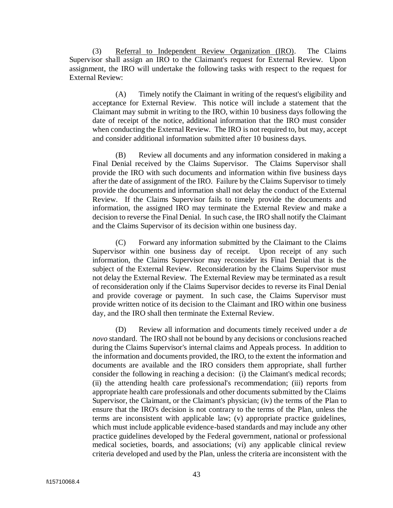<span id="page-46-0"></span>(3) Referral to Independent Review Organization (IRO). The Claims Supervisor shall assign an IRO to the Claimant's request for External Review. Upon assignment, the IRO will undertake the following tasks with respect to the request for External Review:

(A) Timely notify the Claimant in writing of the request's eligibility and acceptance for External Review. This notice will include a statement that the Claimant may submit in writing to the IRO, within 10 business days following the date of receipt of the notice, additional information that the IRO must consider when conducting the External Review. The IRO is not required to, but may, accept and consider additional information submitted after 10 business days.

(B) Review all documents and any information considered in making a Final Denial received by the Claims Supervisor. The Claims Supervisor shall provide the IRO with such documents and information within five business days after the date of assignment of the IRO. Failure by the Claims Supervisor to timely provide the documents and information shall not delay the conduct of the External Review. If the Claims Supervisor fails to timely provide the documents and information, the assigned IRO may terminate the External Review and make a decision to reverse the Final Denial. In such case, the IRO shall notify the Claimant and the Claims Supervisor of its decision within one business day.

(C) Forward any information submitted by the Claimant to the Claims Supervisor within one business day of receipt. Upon receipt of any such information, the Claims Supervisor may reconsider its Final Denial that is the subject of the External Review. Reconsideration by the Claims Supervisor must not delay the External Review. The External Review may be terminated as a result of reconsideration only if the Claims Supervisor decides to reverse its Final Denial and provide coverage or payment. In such case, the Claims Supervisor must provide written notice of its decision to the Claimant and IRO within one business day, and the IRO shall then terminate the External Review.

<span id="page-46-1"></span>(D) Review all information and documents timely received under a *de novo* standard. The IRO shall not be bound by any decisions or conclusions reached during the Claims Supervisor's internal claims and Appeals process. In addition to the information and documents provided, the IRO, to the extent the information and documents are available and the IRO considers them appropriate, shall further consider the following in reaching a decision: (i) the Claimant's medical records; (ii) the attending health care professional's recommendation; (iii) reports from appropriate health care professionals and other documents submitted by the Claims Supervisor, the Claimant, or the Claimant's physician; (iv) the terms of the Plan to ensure that the IRO's decision is not contrary to the terms of the Plan, unless the terms are inconsistent with applicable law; (v) appropriate practice guidelines, which must include applicable evidence-based standards and may include any other practice guidelines developed by the Federal government, national or professional medical societies, boards, and associations; (vi) any applicable clinical review criteria developed and used by the Plan, unless the criteria are inconsistent with the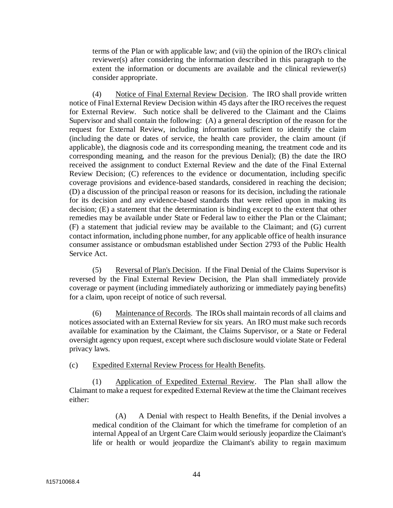terms of the Plan or with applicable law; and (vii) the opinion of the IRO's clinical reviewer(s) after considering the information described in this paragraph to the extent the information or documents are available and the clinical reviewer(s) consider appropriate.

<span id="page-47-1"></span>(4) Notice of Final External Review Decision. The IRO shall provide written notice of Final External Review Decision within 45 days after the IRO receives the request for External Review. Such notice shall be delivered to the Claimant and the Claims Supervisor and shall contain the following: (A) a general description of the reason for the request for External Review, including information sufficient to identify the claim (including the date or dates of service, the health care provider, the claim amount (if applicable), the diagnosis code and its corresponding meaning, the treatment code and its corresponding meaning, and the reason for the previous Denial); (B) the date the IRO received the assignment to conduct External Review and the date of the Final External Review Decision; (C) references to the evidence or documentation, including specific coverage provisions and evidence-based standards, considered in reaching the decision; (D) a discussion of the principal reason or reasons for its decision, including the rationale for its decision and any evidence-based standards that were relied upon in making its decision; (E) a statement that the determination is binding except to the extent that other remedies may be available under State or Federal law to either the Plan or the Claimant; (F) a statement that judicial review may be available to the Claimant; and (G) current contact information, including phone number, for any applicable office of health insurance consumer assistance or ombudsman established under Section 2793 of the Public Health Service Act.

(5) Reversal of Plan's Decision. If the Final Denial of the Claims Supervisor is reversed by the Final External Review Decision, the Plan shall immediately provide coverage or payment (including immediately authorizing or immediately paying benefits) for a claim, upon receipt of notice of such reversal.

(6) Maintenance of Records. The IROs shall maintain records of all claims and notices associated with an External Review for six years. An IRO must make such records available for examination by the Claimant, the Claims Supervisor, or a State or Federal oversight agency upon request, except where such disclosure would violate State or Federal privacy laws.

(c) Expedited External Review Process for Health Benefits.

<span id="page-47-0"></span>(1) Application of Expedited External Review. The Plan shall allow the Claimant to make a request for expedited External Review at the time the Claimant receives either:

(A) A Denial with respect to Health Benefits, if the Denial involves a medical condition of the Claimant for which the timeframe for completion of an internal Appeal of an Urgent Care Claim would seriously jeopardize the Claimant's life or health or would jeopardize the Claimant's ability to regain maximum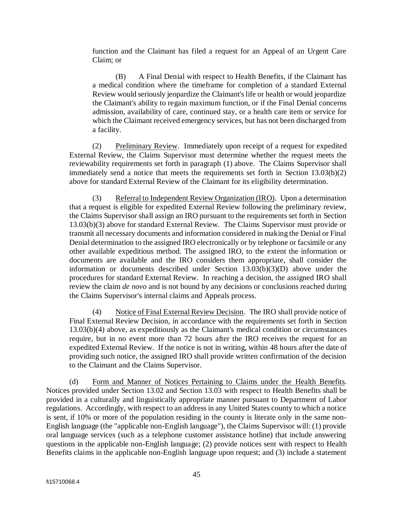function and the Claimant has filed a request for an Appeal of an Urgent Care Claim; or

(B) A Final Denial with respect to Health Benefits, if the Claimant has a medical condition where the timeframe for completion of a standard External Review would seriously jeopardize the Claimant's life or health or would jeopardize the Claimant's ability to regain maximum function, or if the Final Denial concerns admission, availability of care, continued stay, or a health care item or service for which the Claimant received emergency services, but has not been discharged from a facility.

(2) Preliminary Review. Immediately upon receipt of a request for expedited External Review, the Claims Supervisor must determine whether the request meets the reviewability requirements set forth in paragraph [\(1\)](#page-47-0) above. The Claims Supervisor shall immediately send a notice that meets the requirements set forth in [Section 13.03\(b\)\(2\)](#page-45-0) above for standard External Review of the Claimant for its eligibility determination.

(3) Referral to Independent Review Organization (IRO). Upon a determination that a request is eligible for expedited External Review following the preliminary review, the Claims Supervisor shall assign an IRO pursuant to the requirements set forth in [Section](#page-46-0)  [13.03\(b\)\(3\)](#page-46-0) above for standard External Review. The Claims Supervisor must provide or transmit all necessary documents and information considered in making the Denial or Final Denial determination to the assigned IRO electronically or by telephone or facsimile or any other available expeditious method. The assigned IRO, to the extent the information or documents are available and the IRO considers them appropriate, shall consider the information or documents described under [Section 13.03\(b\)\(3\)\(D\)](#page-46-1) above under the procedures for standard External Review. In reaching a decision, the assigned IRO shall review the claim *de novo* and is not bound by any decisions or conclusions reached during the Claims Supervisor's internal claims and Appeals process.

(4) Notice of Final External Review Decision. The IRO shall provide notice of Final External Review Decision, in accordance with the requirements set forth in [Section](#page-47-1)  [13.03\(b\)\(4\)](#page-47-1) above, as expeditiously as the Claimant's medical condition or circumstances require, but in no event more than 72 hours after the IRO receives the request for an expedited External Review. If the notice is not in writing, within 48 hours after the date of providing such notice, the assigned IRO shall provide written confirmation of the decision to the Claimant and the Claims Supervisor.

(d) Form and Manner of Notices Pertaining to Claims under the Health Benefits. Notices provided under Section 13.02 and Section 13.03 with respect to Health Benefits shall be provided in a culturally and linguistically appropriate manner pursuant to Department of Labor regulations. Accordingly, with respect to an address in any United States county to which a notice is sent, if 10% or more of the population residing in the county is literate only in the same non-English language (the "applicable non-English language"), the Claims Supervisor will: (1) provide oral language services (such as a telephone customer assistance hotline) that include answering questions in the applicable non-English language; (2) provide notices sent with respect to Health Benefits claims in the applicable non-English language upon request; and (3) include a statement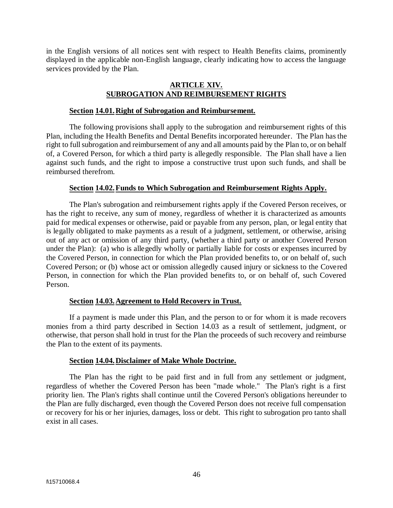in the English versions of all notices sent with respect to Health Benefits claims, prominently displayed in the applicable non-English language, clearly indicating how to access the language services provided by the Plan.

#### **ARTICLE XIV. SUBROGATION AND REIMBURSEMENT RIGHTS**

#### **Section 14.01.Right of Subrogation and Reimbursement.**

The following provisions shall apply to the subrogation and reimbursement rights of this Plan, including the Health Benefits and Dental Benefits incorporated hereunder. The Plan has the right to full subrogation and reimbursement of any and all amounts paid by the Plan to, or on behalf of, a Covered Person, for which a third party is allegedly responsible. The Plan shall have a lien against such funds, and the right to impose a constructive trust upon such funds, and shall be reimbursed therefrom.

#### **Section 14.02.Funds to Which Subrogation and Reimbursement Rights Apply.**

The Plan's subrogation and reimbursement rights apply if the Covered Person receives, or has the right to receive, any sum of money, regardless of whether it is characterized as amounts paid for medical expenses or otherwise, paid or payable from any person, plan, or legal entity that is legally obligated to make payments as a result of a judgment, settlement, or otherwise, arising out of any act or omission of any third party, (whether a third party or another Covered Person under the Plan): (a) who is allegedly wholly or partially liable for costs or expenses incurred by the Covered Person, in connection for which the Plan provided benefits to, or on behalf of, such Covered Person; or (b) whose act or omission allegedly caused injury or sickness to the Covered Person, in connection for which the Plan provided benefits to, or on behalf of, such Covered Person.

## **Section 14.03.Agreement to Hold Recovery in Trust.**

If a payment is made under this Plan, and the person to or for whom it is made recovers monies from a third party described in Section 14.03 as a result of settlement, judgment, or otherwise, that person shall hold in trust for the Plan the proceeds of such recovery and reimburse the Plan to the extent of its payments.

#### **Section 14.04.Disclaimer of Make Whole Doctrine.**

The Plan has the right to be paid first and in full from any settlement or judgment, regardless of whether the Covered Person has been "made whole." The Plan's right is a first priority lien. The Plan's rights shall continue until the Covered Person's obligations hereunder to the Plan are fully discharged, even though the Covered Person does not receive full compensation or recovery for his or her injuries, damages, loss or debt. This right to subrogation pro tanto shall exist in all cases.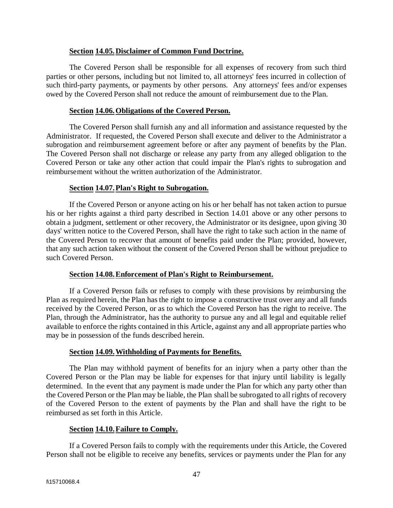#### **Section 14.05.Disclaimer of Common Fund Doctrine.**

The Covered Person shall be responsible for all expenses of recovery from such third parties or other persons, including but not limited to, all attorneys' fees incurred in collection of such third-party payments, or payments by other persons. Any attorneys' fees and/or expenses owed by the Covered Person shall not reduce the amount of reimbursement due to the Plan.

#### **Section 14.06.Obligations of the Covered Person.**

The Covered Person shall furnish any and all information and assistance requested by the Administrator. If requested, the Covered Person shall execute and deliver to the Administrator a subrogation and reimbursement agreement before or after any payment of benefits by the Plan. The Covered Person shall not discharge or release any party from any alleged obligation to the Covered Person or take any other action that could impair the Plan's rights to subrogation and reimbursement without the written authorization of the Administrator.

#### **Section 14.07.Plan's Right to Subrogation.**

If the Covered Person or anyone acting on his or her behalf has not taken action to pursue his or her rights against a third party described in Section 14.01 above or any other persons to obtain a judgment, settlement or other recovery, the Administrator or its designee, upon giving 30 days' written notice to the Covered Person, shall have the right to take such action in the name of the Covered Person to recover that amount of benefits paid under the Plan; provided, however, that any such action taken without the consent of the Covered Person shall be without prejudice to such Covered Person.

## **Section 14.08.Enforcement of Plan's Right to Reimbursement.**

If a Covered Person fails or refuses to comply with these provisions by reimbursing the Plan as required herein, the Plan has the right to impose a constructive trust over any and all funds received by the Covered Person, or as to which the Covered Person has the right to receive. The Plan, through the Administrator, has the authority to pursue any and all legal and equitable relief available to enforce the rights contained in this Article, against any and all appropriate parties who may be in possession of the funds described herein.

## **Section 14.09.Withholding of Payments for Benefits.**

The Plan may withhold payment of benefits for an injury when a party other than the Covered Person or the Plan may be liable for expenses for that injury until liability is legally determined. In the event that any payment is made under the Plan for which any party other than the Covered Person or the Plan may be liable, the Plan shall be subrogated to all rights of recovery of the Covered Person to the extent of payments by the Plan and shall have the right to be reimbursed as set forth in this Article.

## **Section 14.10.Failure to Comply.**

If a Covered Person fails to comply with the requirements under this Article, the Covered Person shall not be eligible to receive any benefits, services or payments under the Plan for any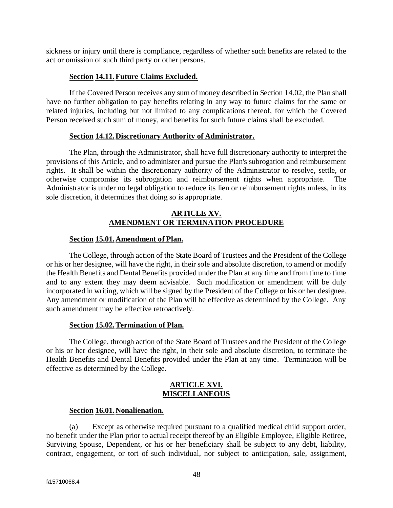sickness or injury until there is compliance, regardless of whether such benefits are related to the act or omission of such third party or other persons.

## **Section 14.11.Future Claims Excluded.**

If the Covered Person receives any sum of money described in Section 14.02, the Plan shall have no further obligation to pay benefits relating in any way to future claims for the same or related injuries, including but not limited to any complications thereof, for which the Covered Person received such sum of money, and benefits for such future claims shall be excluded.

## **Section 14.12.Discretionary Authority of Administrator.**

The Plan, through the Administrator, shall have full discretionary authority to interpret the provisions of this Article, and to administer and pursue the Plan's subrogation and reimbursement rights. It shall be within the discretionary authority of the Administrator to resolve, settle, or otherwise compromise its subrogation and reimbursement rights when appropriate. The Administrator is under no legal obligation to reduce its lien or reimbursement rights unless, in its sole discretion, it determines that doing so is appropriate.

## **ARTICLE XV. AMENDMENT OR TERMINATION PROCEDURE**

#### **Section 15.01.Amendment of Plan.**

The College, through action of the State Board of Trustees and the President of the College or his or her designee, will have the right, in their sole and absolute discretion, to amend or modify the Health Benefits and Dental Benefits provided under the Plan at any time and from time to time and to any extent they may deem advisable. Such modification or amendment will be duly incorporated in writing, which will be signed by the President of the College or his or her designee. Any amendment or modification of the Plan will be effective as determined by the College. Any such amendment may be effective retroactively.

## **Section 15.02.Termination of Plan.**

The College, through action of the State Board of Trustees and the President of the College or his or her designee, will have the right, in their sole and absolute discretion, to terminate the Health Benefits and Dental Benefits provided under the Plan at any time. Termination will be effective as determined by the College.

#### **ARTICLE XVI. MISCELLANEOUS**

## **Section 16.01.Nonalienation.**

(a) Except as otherwise required pursuant to a qualified medical child support order, no benefit under the Plan prior to actual receipt thereof by an Eligible Employee, Eligible Retiree, Surviving Spouse, Dependent, or his or her beneficiary shall be subject to any debt, liability, contract, engagement, or tort of such individual, nor subject to anticipation, sale, assignment,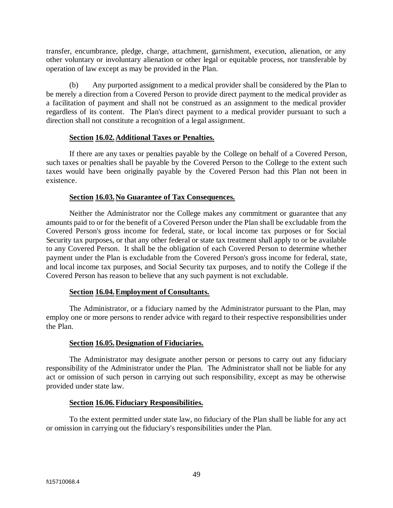transfer, encumbrance, pledge, charge, attachment, garnishment, execution, alienation, or any other voluntary or involuntary alienation or other legal or equitable process, nor transferable by operation of law except as may be provided in the Plan.

(b) Any purported assignment to a medical provider shall be considered by the Plan to be merely a direction from a Covered Person to provide direct payment to the medical provider as a facilitation of payment and shall not be construed as an assignment to the medical provider regardless of its content. The Plan's direct payment to a medical provider pursuant to such a direction shall not constitute a recognition of a legal assignment.

#### **Section 16.02.Additional Taxes or Penalties.**

If there are any taxes or penalties payable by the College on behalf of a Covered Person, such taxes or penalties shall be payable by the Covered Person to the College to the extent such taxes would have been originally payable by the Covered Person had this Plan not been in existence.

#### **Section 16.03.No Guarantee of Tax Consequences.**

Neither the Administrator nor the College makes any commitment or guarantee that any amounts paid to or for the benefit of a Covered Person under the Plan shall be excludable from the Covered Person's gross income for federal, state, or local income tax purposes or for Social Security tax purposes, or that any other federal or state tax treatment shall apply to or be available to any Covered Person. It shall be the obligation of each Covered Person to determine whether payment under the Plan is excludable from the Covered Person's gross income for federal, state, and local income tax purposes, and Social Security tax purposes, and to notify the College if the Covered Person has reason to believe that any such payment is not excludable.

## **Section 16.04.Employment of Consultants.**

The Administrator, or a fiduciary named by the Administrator pursuant to the Plan, may employ one or more persons to render advice with regard to their respective responsibilities under the Plan.

## **Section 16.05.Designation of Fiduciaries.**

The Administrator may designate another person or persons to carry out any fiduciary responsibility of the Administrator under the Plan. The Administrator shall not be liable for any act or omission of such person in carrying out such responsibility, except as may be otherwise provided under state law.

#### **Section 16.06.Fiduciary Responsibilities.**

To the extent permitted under state law, no fiduciary of the Plan shall be liable for any act or omission in carrying out the fiduciary's responsibilities under the Plan.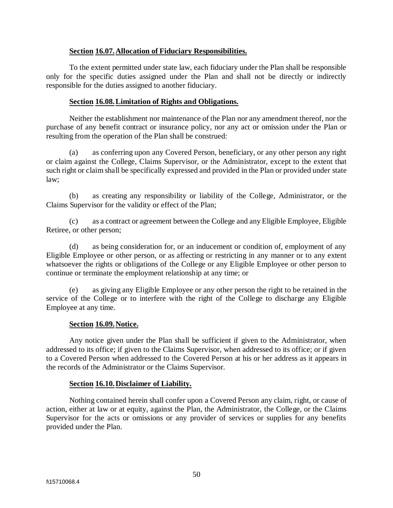## **Section 16.07.Allocation of Fiduciary Responsibilities.**

To the extent permitted under state law, each fiduciary under the Plan shall be responsible only for the specific duties assigned under the Plan and shall not be directly or indirectly responsible for the duties assigned to another fiduciary.

#### **Section 16.08.Limitation of Rights and Obligations.**

Neither the establishment nor maintenance of the Plan nor any amendment thereof, nor the purchase of any benefit contract or insurance policy, nor any act or omission under the Plan or resulting from the operation of the Plan shall be construed:

(a) as conferring upon any Covered Person, beneficiary, or any other person any right or claim against the College, Claims Supervisor, or the Administrator, except to the extent that such right or claim shall be specifically expressed and provided in the Plan or provided under state law;

(b) as creating any responsibility or liability of the College, Administrator, or the Claims Supervisor for the validity or effect of the Plan;

(c) as a contract or agreement between the College and any Eligible Employee, Eligible Retiree, or other person;

(d) as being consideration for, or an inducement or condition of, employment of any Eligible Employee or other person, or as affecting or restricting in any manner or to any extent whatsoever the rights or obligations of the College or any Eligible Employee or other person to continue or terminate the employment relationship at any time; or

(e) as giving any Eligible Employee or any other person the right to be retained in the service of the College or to interfere with the right of the College to discharge any Eligible Employee at any time.

#### **Section 16.09.Notice.**

Any notice given under the Plan shall be sufficient if given to the Administrator, when addressed to its office; if given to the Claims Supervisor, when addressed to its office; or if given to a Covered Person when addressed to the Covered Person at his or her address as it appears in the records of the Administrator or the Claims Supervisor.

#### **Section 16.10.Disclaimer of Liability.**

Nothing contained herein shall confer upon a Covered Person any claim, right, or cause of action, either at law or at equity, against the Plan, the Administrator, the College, or the Claims Supervisor for the acts or omissions or any provider of services or supplies for any benefits provided under the Plan.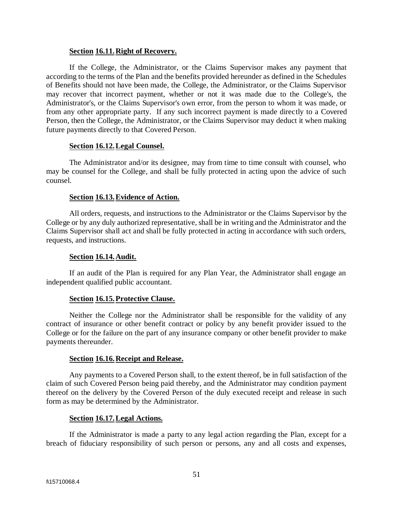#### **Section 16.11.Right of Recovery.**

If the College, the Administrator, or the Claims Supervisor makes any payment that according to the terms of the Plan and the benefits provided hereunder as defined in the Schedules of Benefits should not have been made, the College, the Administrator, or the Claims Supervisor may recover that incorrect payment, whether or not it was made due to the College's, the Administrator's, or the Claims Supervisor's own error, from the person to whom it was made, or from any other appropriate party. If any such incorrect payment is made directly to a Covered Person, then the College, the Administrator, or the Claims Supervisor may deduct it when making future payments directly to that Covered Person.

#### **Section 16.12.Legal Counsel.**

The Administrator and/or its designee, may from time to time consult with counsel, who may be counsel for the College, and shall be fully protected in acting upon the advice of such counsel.

#### **Section 16.13.Evidence of Action.**

All orders, requests, and instructions to the Administrator or the Claims Supervisor by the College or by any duly authorized representative, shall be in writing and the Administrator and the Claims Supervisor shall act and shall be fully protected in acting in accordance with such orders, requests, and instructions.

#### **Section 16.14.Audit.**

If an audit of the Plan is required for any Plan Year, the Administrator shall engage an independent qualified public accountant.

## **Section 16.15.Protective Clause.**

Neither the College nor the Administrator shall be responsible for the validity of any contract of insurance or other benefit contract or policy by any benefit provider issued to the College or for the failure on the part of any insurance company or other benefit provider to make payments thereunder.

#### **Section 16.16.Receipt and Release.**

Any payments to a Covered Person shall, to the extent thereof, be in full satisfaction of the claim of such Covered Person being paid thereby, and the Administrator may condition payment thereof on the delivery by the Covered Person of the duly executed receipt and release in such form as may be determined by the Administrator.

#### **Section 16.17.Legal Actions.**

If the Administrator is made a party to any legal action regarding the Plan, except for a breach of fiduciary responsibility of such person or persons, any and all costs and expenses,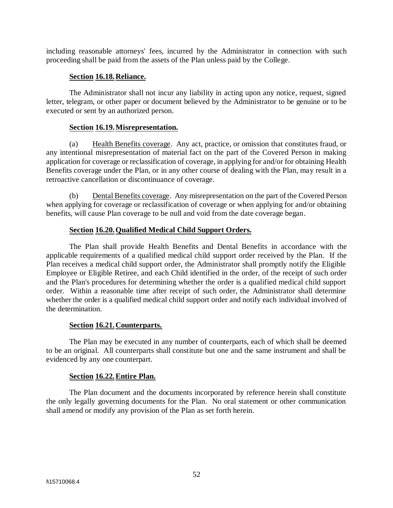including reasonable attorneys' fees, incurred by the Administrator in connection with such proceeding shall be paid from the assets of the Plan unless paid by the College.

## **Section 16.18.Reliance.**

The Administrator shall not incur any liability in acting upon any notice, request, signed letter, telegram, or other paper or document believed by the Administrator to be genuine or to be executed or sent by an authorized person.

#### **Section 16.19.Misrepresentation.**

(a) Health Benefits coverage. Any act, practice, or omission that constitutes fraud, or any intentional misrepresentation of material fact on the part of the Covered Person in making application for coverage or reclassification of coverage, in applying for and/or for obtaining Health Benefits coverage under the Plan, or in any other course of dealing with the Plan, may result in a retroactive cancellation or discontinuance of coverage.

(b) Dental Benefits coverage. Any misrepresentation on the part of the Covered Person when applying for coverage or reclassification of coverage or when applying for and/or obtaining benefits, will cause Plan coverage to be null and void from the date coverage began.

## **Section 16.20.Qualified Medical Child Support Orders.**

The Plan shall provide Health Benefits and Dental Benefits in accordance with the applicable requirements of a qualified medical child support order received by the Plan. If the Plan receives a medical child support order, the Administrator shall promptly notify the Eligible Employee or Eligible Retiree, and each Child identified in the order, of the receipt of such order and the Plan's procedures for determining whether the order is a qualified medical child support order. Within a reasonable time after receipt of such order, the Administrator shall determine whether the order is a qualified medical child support order and notify each individual involved of the determination.

## **Section 16.21.Counterparts.**

The Plan may be executed in any number of counterparts, each of which shall be deemed to be an original. All counterparts shall constitute but one and the same instrument and shall be evidenced by any one counterpart.

## **Section 16.22.Entire Plan.**

The Plan document and the documents incorporated by reference herein shall constitute the only legally governing documents for the Plan. No oral statement or other communication shall amend or modify any provision of the Plan as set forth herein.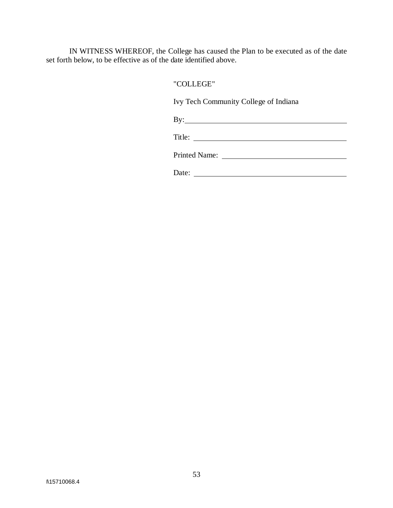IN WITNESS WHEREOF, the College has caused the Plan to be executed as of the date set forth below, to be effective as of the date identified above.

## "COLLEGE"

Ivy Tech Community College of Indiana

By:

Title:

Printed Name:

Date: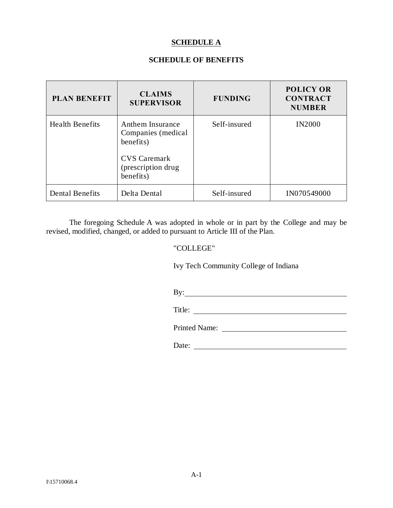## **SCHEDULE A**

## **SCHEDULE OF BENEFITS**

| <b>PLAN BENEFIT</b>    | <b>CLAIMS</b><br><b>SUPERVISOR</b>                                                                             | <b>FUNDING</b> | <b>POLICY OR</b><br><b>CONTRACT</b><br><b>NUMBER</b> |
|------------------------|----------------------------------------------------------------------------------------------------------------|----------------|------------------------------------------------------|
| <b>Health Benefits</b> | Anthem Insurance<br>Companies (medical<br>benefits)<br><b>CVS Caremark</b><br>(prescription drug)<br>benefits) | Self-insured   | <b>IN2000</b>                                        |
| <b>Dental Benefits</b> | Delta Dental                                                                                                   | Self-insured   | IN070549000                                          |

The foregoing Schedule A was adopted in whole or in part by the College and may be revised, modified, changed, or added to pursuant to Article III of the Plan.

#### "COLLEGE"

Ivy Tech Community College of Indiana

By: <u>second</u> contract the second contract of the second contract of the second contract of the second contract of the second contract of the second contract of the second contract of the second contract of the second contr

Title: <u>the contract of the contract of the contract of the contract of the contract of the contract of the contract of the contract of the contract of the contract of the contract of the contract of the contract of the co</u>

Printed Name:

Date: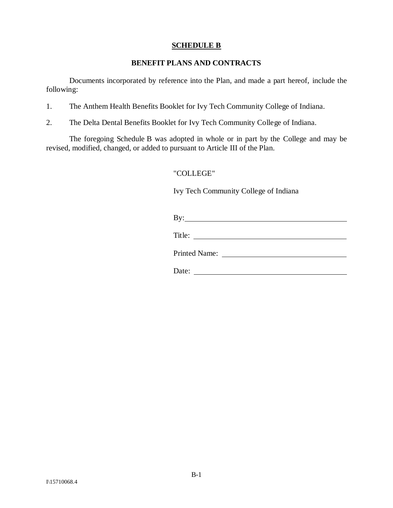## **SCHEDULE B**

## **BENEFIT PLANS AND CONTRACTS**

Documents incorporated by reference into the Plan, and made a part hereof, include the following:

- 1. The Anthem Health Benefits Booklet for Ivy Tech Community College of Indiana.
- 2. The Delta Dental Benefits Booklet for Ivy Tech Community College of Indiana.

The foregoing Schedule B was adopted in whole or in part by the College and may be revised, modified, changed, or added to pursuant to Article III of the Plan.

## "COLLEGE"

Ivy Tech Community College of Indiana

| D<br>B |  |  |  |
|--------|--|--|--|
|        |  |  |  |

| Title: |
|--------|
|--------|

Printed Name:

Date: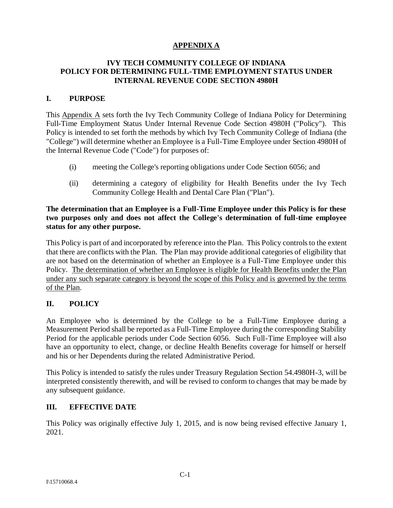## **APPENDIX A**

## **IVY TECH COMMUNITY COLLEGE OF INDIANA POLICY FOR DETERMINING FULL-TIME EMPLOYMENT STATUS UNDER INTERNAL REVENUE CODE SECTION 4980H**

## **I. PURPOSE**

This Appendix A sets forth the Ivy Tech Community College of Indiana Policy for Determining Full-Time Employment Status Under Internal Revenue Code Section 4980H ("Policy"). This Policy is intended to set forth the methods by which Ivy Tech Community College of Indiana (the "College") will determine whether an Employee is a Full-Time Employee under Section 4980H of the Internal Revenue Code ("Code") for purposes of:

- (i) meeting the College's reporting obligations under Code Section 6056; and
- (ii) determining a category of eligibility for Health Benefits under the Ivy Tech Community College Health and Dental Care Plan ("Plan").

## **The determination that an Employee is a Full-Time Employee under this Policy is for these two purposes only and does not affect the College's determination of full-time employee status for any other purpose.**

This Policy is part of and incorporated by reference into the Plan. This Policy controls to the extent that there are conflicts with the Plan. The Plan may provide additional categories of eligibility that are not based on the determination of whether an Employee is a Full-Time Employee under this Policy. The determination of whether an Employee is eligible for Health Benefits under the Plan under any such separate category is beyond the scope of this Policy and is governed by the terms of the Plan.

## **II. POLICY**

An Employee who is determined by the College to be a Full-Time Employee during a Measurement Period shall be reported as a Full-Time Employee during the corresponding Stability Period for the applicable periods under Code Section 6056. Such Full-Time Employee will also have an opportunity to elect, change, or decline Health Benefits coverage for himself or herself and his or her Dependents during the related Administrative Period.

This Policy is intended to satisfy the rules under Treasury Regulation Section 54.4980H-3, will be interpreted consistently therewith, and will be revised to conform to changes that may be made by any subsequent guidance.

## **III. EFFECTIVE DATE**

This Policy was originally effective July 1, 2015, and is now being revised effective January 1, 2021.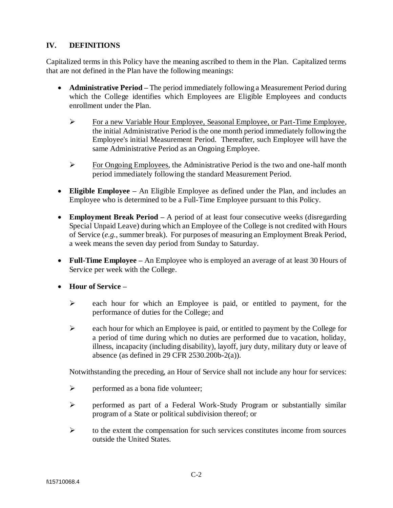## **IV. DEFINITIONS**

Capitalized terms in this Policy have the meaning ascribed to them in the Plan. Capitalized terms that are not defined in the Plan have the following meanings:

- **Administrative Period –** The period immediately following a Measurement Period during which the College identifies which Employees are Eligible Employees and conducts enrollment under the Plan.
	- ➢ For a new Variable Hour Employee, Seasonal Employee, or Part-Time Employee, the initial Administrative Period is the one month period immediately following the Employee's initial Measurement Period. Thereafter, such Employee will have the same Administrative Period as an Ongoing Employee.
	- ➢ For Ongoing Employees, the Administrative Period is the two and one-half month period immediately following the standard Measurement Period.
- **Eligible Employee –** An Eligible Employee as defined under the Plan, and includes an Employee who is determined to be a Full-Time Employee pursuant to this Policy.
- **Employment Break Period** A period of at least four consecutive weeks (disregarding Special Unpaid Leave) during which an Employee of the College is not credited with Hours of Service (*e.g.*, summer break). For purposes of measuring an Employment Break Period, a week means the seven day period from Sunday to Saturday.
- **Full-Time Employee –** An Employee who is employed an average of at least 30 Hours of Service per week with the College.
- **Hour of Service –**
	- ➢ each hour for which an Employee is paid, or entitled to payment, for the performance of duties for the College; and
	- ➢ each hour for which an Employee is paid, or entitled to payment by the College for a period of time during which no duties are performed due to vacation, holiday, illness, incapacity (including disability), layoff, jury duty, military duty or leave of absence (as defined in 29 CFR 2530.200b-2(a)).

Notwithstanding the preceding, an Hour of Service shall not include any hour for services:

- $\triangleright$  performed as a bona fide volunteer;
- ➢ performed as part of a Federal Work-Study Program or substantially similar program of a State or political subdivision thereof; or
- ➢ to the extent the compensation for such services constitutes income from sources outside the United States.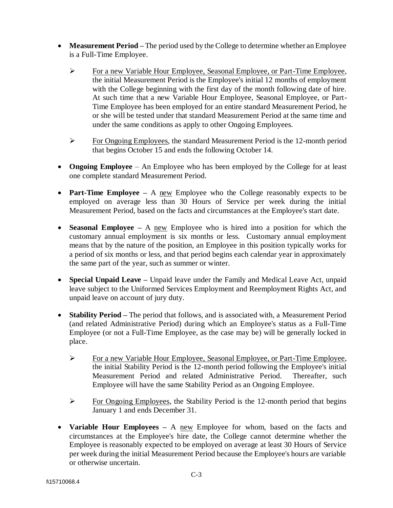- **Measurement Period** The period used by the College to determine whether an Employee is a Full-Time Employee.
	- ➢ For a new Variable Hour Employee, Seasonal Employee, or Part-Time Employee, the initial Measurement Period is the Employee's initial 12 months of employment with the College beginning with the first day of the month following date of hire. At such time that a new Variable Hour Employee, Seasonal Employee, or Part-Time Employee has been employed for an entire standard Measurement Period, he or she will be tested under that standard Measurement Period at the same time and under the same conditions as apply to other Ongoing Employees.
	- ➢ For Ongoing Employees, the standard Measurement Period is the 12-month period that begins October 15 and ends the following October 14.
- **Ongoing Employee** An Employee who has been employed by the College for at least one complete standard Measurement Period.
- **Part-Time Employee** A new Employee who the College reasonably expects to be employed on average less than 30 Hours of Service per week during the initial Measurement Period, based on the facts and circumstances at the Employee's start date.
- **Seasonal Employee –** A new Employee who is hired into a position for which the customary annual employment is six months or less. Customary annual employment means that by the nature of the position, an Employee in this position typically works for a period of six months or less, and that period begins each calendar year in approximately the same part of the year, such as summer or winter.
- **Special Unpaid Leave –** Unpaid leave under the Family and Medical Leave Act, unpaid leave subject to the Uniformed Services Employment and Reemployment Rights Act, and unpaid leave on account of jury duty.
- **Stability Period –** The period that follows, and is associated with, a Measurement Period (and related Administrative Period) during which an Employee's status as a Full-Time Employee (or not a Full-Time Employee, as the case may be) will be generally locked in place.
	- ➢ For a new Variable Hour Employee, Seasonal Employee, or Part-Time Employee, the initial Stability Period is the 12-month period following the Employee's initial Measurement Period and related Administrative Period. Thereafter, such Employee will have the same Stability Period as an Ongoing Employee.
	- ➢ For Ongoing Employees, the Stability Period is the 12-month period that begins January 1 and ends December 31.
- **Variable Hour Employees –** A new Employee for whom, based on the facts and circumstances at the Employee's hire date, the College cannot determine whether the Employee is reasonably expected to be employed on average at least 30 Hours of Service per week during the initial Measurement Period because the Employee's hours are variable or otherwise uncertain.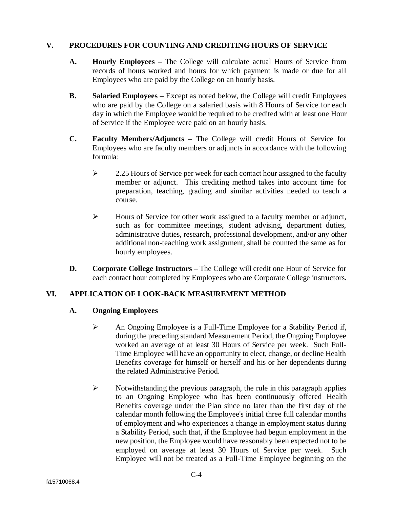#### **V. PROCEDURES FOR COUNTING AND CREDITING HOURS OF SERVICE**

- **A. Hourly Employees –** The College will calculate actual Hours of Service from records of hours worked and hours for which payment is made or due for all Employees who are paid by the College on an hourly basis.
- **B. Salaried Employees –** Except as noted below, the College will credit Employees who are paid by the College on a salaried basis with 8 Hours of Service for each day in which the Employee would be required to be credited with at least one Hour of Service if the Employee were paid on an hourly basis.
- **C. Faculty Members/Adjuncts –** The College will credit Hours of Service for Employees who are faculty members or adjuncts in accordance with the following formula:
	- ➢ 2.25 Hours of Service per week for each contact hour assigned to the faculty member or adjunct. This crediting method takes into account time for preparation, teaching, grading and similar activities needed to teach a course.
	- ➢ Hours of Service for other work assigned to a faculty member or adjunct, such as for committee meetings, student advising, department duties, administrative duties, research, professional development, and/or any other additional non-teaching work assignment, shall be counted the same as for hourly employees.
- **D. Corporate College Instructors –** The College will credit one Hour of Service for each contact hour completed by Employees who are Corporate College instructors.

## **VI. APPLICATION OF LOOK-BACK MEASUREMENT METHOD**

## **A. Ongoing Employees**

- ➢ An Ongoing Employee is a Full-Time Employee for a Stability Period if, during the preceding standard Measurement Period, the Ongoing Employee worked an average of at least 30 Hours of Service per week. Such Full-Time Employee will have an opportunity to elect, change, or decline Health Benefits coverage for himself or herself and his or her dependents during the related Administrative Period.
- ➢ Notwithstanding the previous paragraph, the rule in this paragraph applies to an Ongoing Employee who has been continuously offered Health Benefits coverage under the Plan since no later than the first day of the calendar month following the Employee's initial three full calendar months of employment and who experiences a change in employment status during a Stability Period, such that, if the Employee had begun employment in the new position, the Employee would have reasonably been expected not to be employed on average at least 30 Hours of Service per week. Such Employee will not be treated as a Full-Time Employee beginning on the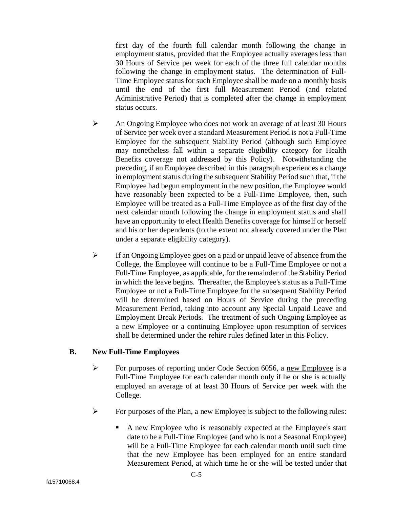first day of the fourth full calendar month following the change in employment status, provided that the Employee actually averages less than 30 Hours of Service per week for each of the three full calendar months following the change in employment status. The determination of Full-Time Employee status for such Employee shall be made on a monthly basis until the end of the first full Measurement Period (and related Administrative Period) that is completed after the change in employment status occurs.

- ➢ An Ongoing Employee who does not work an average of at least 30 Hours of Service per week over a standard Measurement Period is not a Full-Time Employee for the subsequent Stability Period (although such Employee may nonetheless fall within a separate eligibility category for Health Benefits coverage not addressed by this Policy). Notwithstanding the preceding, if an Employee described in this paragraph experiences a change in employment status during the subsequent Stability Period such that, if the Employee had begun employment in the new position, the Employee would have reasonably been expected to be a Full-Time Employee, then, such Employee will be treated as a Full-Time Employee as of the first day of the next calendar month following the change in employment status and shall have an opportunity to elect Health Benefits coverage for himself or herself and his or her dependents (to the extent not already covered under the Plan under a separate eligibility category).
- $\triangleright$  If an Ongoing Employee goes on a paid or unpaid leave of absence from the College, the Employee will continue to be a Full-Time Employee or not a Full-Time Employee, as applicable, for the remainder of the Stability Period in which the leave begins. Thereafter, the Employee's status as a Full-Time Employee or not a Full-Time Employee for the subsequent Stability Period will be determined based on Hours of Service during the preceding Measurement Period, taking into account any Special Unpaid Leave and Employment Break Periods. The treatment of such Ongoing Employee as a new Employee or a continuing Employee upon resumption of services shall be determined under the rehire rules defined later in this Policy.

## **B. New Full-Time Employees**

- $\triangleright$  For purposes of reporting under Code Section 6056, a new Employee is a Full-Time Employee for each calendar month only if he or she is actually employed an average of at least 30 Hours of Service per week with the College.
- $\triangleright$  For purposes of the Plan, a new Employee is subject to the following rules:
	- A new Employee who is reasonably expected at the Employee's start date to be a Full-Time Employee (and who is not a Seasonal Employee) will be a Full-Time Employee for each calendar month until such time that the new Employee has been employed for an entire standard Measurement Period, at which time he or she will be tested under that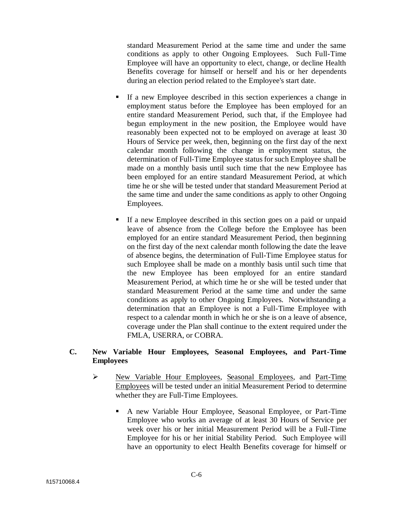standard Measurement Period at the same time and under the same conditions as apply to other Ongoing Employees. Such Full-Time Employee will have an opportunity to elect, change, or decline Health Benefits coverage for himself or herself and his or her dependents during an election period related to the Employee's start date.

- If a new Employee described in this section experiences a change in employment status before the Employee has been employed for an entire standard Measurement Period, such that, if the Employee had begun employment in the new position, the Employee would have reasonably been expected not to be employed on average at least 30 Hours of Service per week, then, beginning on the first day of the next calendar month following the change in employment status, the determination of Full-Time Employee status for such Employee shall be made on a monthly basis until such time that the new Employee has been employed for an entire standard Measurement Period, at which time he or she will be tested under that standard Measurement Period at the same time and under the same conditions as apply to other Ongoing Employees.
- If a new Employee described in this section goes on a paid or unpaid leave of absence from the College before the Employee has been employed for an entire standard Measurement Period, then beginning on the first day of the next calendar month following the date the leave of absence begins, the determination of Full-Time Employee status for such Employee shall be made on a monthly basis until such time that the new Employee has been employed for an entire standard Measurement Period, at which time he or she will be tested under that standard Measurement Period at the same time and under the same conditions as apply to other Ongoing Employees. Notwithstanding a determination that an Employee is not a Full-Time Employee with respect to a calendar month in which he or she is on a leave of absence, coverage under the Plan shall continue to the extent required under the FMLA, USERRA, or COBRA.

## **C. New Variable Hour Employees, Seasonal Employees, and Part-Time Employees**

- ➢ New Variable Hour Employees, Seasonal Employees, and Part-Time Employees will be tested under an initial Measurement Period to determine whether they are Full-Time Employees.
	- A new Variable Hour Employee, Seasonal Employee, or Part-Time Employee who works an average of at least 30 Hours of Service per week over his or her initial Measurement Period will be a Full-Time Employee for his or her initial Stability Period. Such Employee will have an opportunity to elect Health Benefits coverage for himself or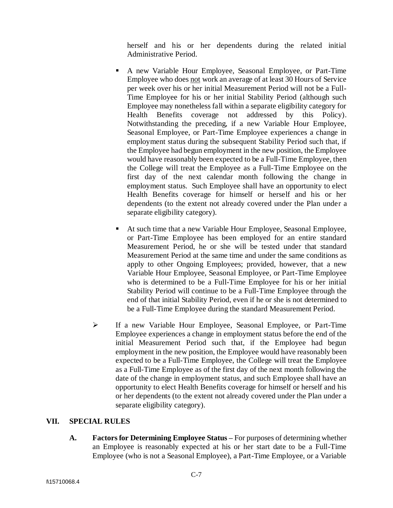herself and his or her dependents during the related initial Administrative Period.

- A new Variable Hour Employee, Seasonal Employee, or Part-Time Employee who does not work an average of at least 30 Hours of Service per week over his or her initial Measurement Period will not be a Full-Time Employee for his or her initial Stability Period (although such Employee may nonetheless fall within a separate eligibility category for Health Benefits coverage not addressed by this Policy). Notwithstanding the preceding, if a new Variable Hour Employee, Seasonal Employee, or Part-Time Employee experiences a change in employment status during the subsequent Stability Period such that, if the Employee had begun employment in the new position, the Employee would have reasonably been expected to be a Full-Time Employee, then the College will treat the Employee as a Full-Time Employee on the first day of the next calendar month following the change in employment status. Such Employee shall have an opportunity to elect Health Benefits coverage for himself or herself and his or her dependents (to the extent not already covered under the Plan under a separate eligibility category).
- At such time that a new Variable Hour Employee, Seasonal Employee, or Part-Time Employee has been employed for an entire standard Measurement Period, he or she will be tested under that standard Measurement Period at the same time and under the same conditions as apply to other Ongoing Employees; provided, however, that a new Variable Hour Employee, Seasonal Employee, or Part-Time Employee who is determined to be a Full-Time Employee for his or her initial Stability Period will continue to be a Full-Time Employee through the end of that initial Stability Period, even if he or she is not determined to be a Full-Time Employee during the standard Measurement Period.
- ➢ If a new Variable Hour Employee, Seasonal Employee, or Part-Time Employee experiences a change in employment status before the end of the initial Measurement Period such that, if the Employee had begun employment in the new position, the Employee would have reasonably been expected to be a Full-Time Employee, the College will treat the Employee as a Full-Time Employee as of the first day of the next month following the date of the change in employment status, and such Employee shall have an opportunity to elect Health Benefits coverage for himself or herself and his or her dependents (to the extent not already covered under the Plan under a separate eligibility category).

#### **VII. SPECIAL RULES**

**A. Factors for Determining Employee Status –** For purposes of determining whether an Employee is reasonably expected at his or her start date to be a Full-Time Employee (who is not a Seasonal Employee), a Part-Time Employee, or a Variable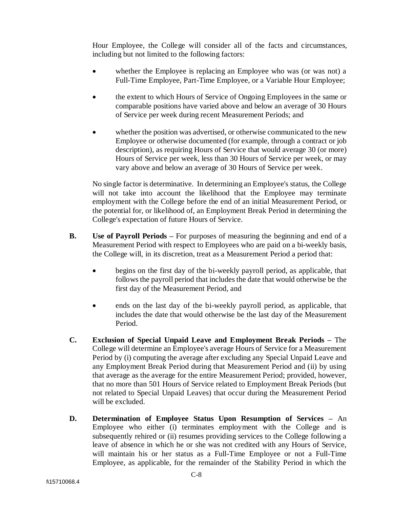Hour Employee, the College will consider all of the facts and circumstances, including but not limited to the following factors:

- whether the Employee is replacing an Employee who was (or was not) a Full-Time Employee, Part-Time Employee, or a Variable Hour Employee;
- the extent to which Hours of Service of Ongoing Employees in the same or comparable positions have varied above and below an average of 30 Hours of Service per week during recent Measurement Periods; and
- whether the position was advertised, or otherwise communicated to the new Employee or otherwise documented (for example, through a contract or job description), as requiring Hours of Service that would average 30 (or more) Hours of Service per week, less than 30 Hours of Service per week, or may vary above and below an average of 30 Hours of Service per week.

No single factor is determinative. In determining an Employee's status, the College will not take into account the likelihood that the Employee may terminate employment with the College before the end of an initial Measurement Period, or the potential for, or likelihood of, an Employment Break Period in determining the College's expectation of future Hours of Service.

- **B. Use of Payroll Periods –** For purposes of measuring the beginning and end of a Measurement Period with respect to Employees who are paid on a bi-weekly basis, the College will, in its discretion, treat as a Measurement Period a period that:
	- begins on the first day of the bi-weekly payroll period, as applicable, that follows the payroll period that includes the date that would otherwise be the first day of the Measurement Period, and
	- ends on the last day of the bi-weekly payroll period, as applicable, that includes the date that would otherwise be the last day of the Measurement Period.
- **C. Exclusion of Special Unpaid Leave and Employment Break Periods –** The College will determine an Employee's average Hours of Service for a Measurement Period by (i) computing the average after excluding any Special Unpaid Leave and any Employment Break Period during that Measurement Period and (ii) by using that average as the average for the entire Measurement Period; provided, however, that no more than 501 Hours of Service related to Employment Break Periods (but not related to Special Unpaid Leaves) that occur during the Measurement Period will be excluded.
- **D. Determination of Employee Status Upon Resumption of Services –** An Employee who either (i) terminates employment with the College and is subsequently rehired or (ii) resumes providing services to the College following a leave of absence in which he or she was not credited with any Hours of Service, will maintain his or her status as a Full-Time Employee or not a Full-Time Employee, as applicable, for the remainder of the Stability Period in which the